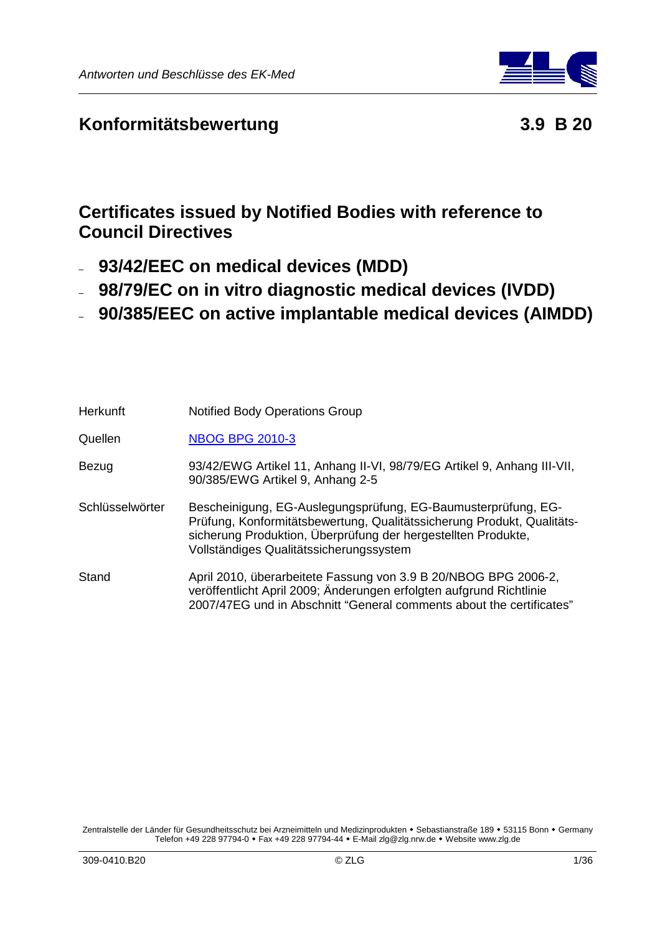

# **Konformitätsbewertung 3.9 B 20**

# **Certificates issued by Notified Bodies with reference to Council Directives**

- **93/42/EEC on medical devices (MDD)**
- **98/79/EC on in vitro diagnostic medical devices (IVDD)**
- **90/385/EEC on active implantable medical devices (AIMDD)**

| <b>Herkunft</b> | <b>Notified Body Operations Group</b>                                                                                                                                                                                                               |
|-----------------|-----------------------------------------------------------------------------------------------------------------------------------------------------------------------------------------------------------------------------------------------------|
| Quellen         | <b>NBOG BPG 2010-3</b>                                                                                                                                                                                                                              |
| Bezug           | 93/42/EWG Artikel 11, Anhang II-VI, 98/79/EG Artikel 9, Anhang III-VII,<br>90/385/EWG Artikel 9, Anhang 2-5                                                                                                                                         |
| Schlüsselwörter | Bescheinigung, EG-Auslegungsprüfung, EG-Baumusterprüfung, EG-<br>Prüfung, Konformitätsbewertung, Qualitätssicherung Produkt, Qualitäts-<br>sicherung Produktion, Überprüfung der hergestellten Produkte.<br>Vollständiges Qualitätssicherungssystem |
| Stand           | April 2010, überarbeitete Fassung von 3.9 B 20/NBOG BPG 2006-2,<br>veröffentlicht April 2009; Änderungen erfolgten aufgrund Richtlinie<br>2007/47EG und in Abschnitt "General comments about the certificates"                                      |

Zentralstelle der Länder für Gesundheitsschutz bei Arzneimitteln und Medizinprodukten • Sebastianstraße 189 • 53115 Bonn • Germany Telefon +49 228 97794-0 • Fax +49 228 97794-44 • E-Mail zlg@zlg.nrw.de • Website www.zlg.de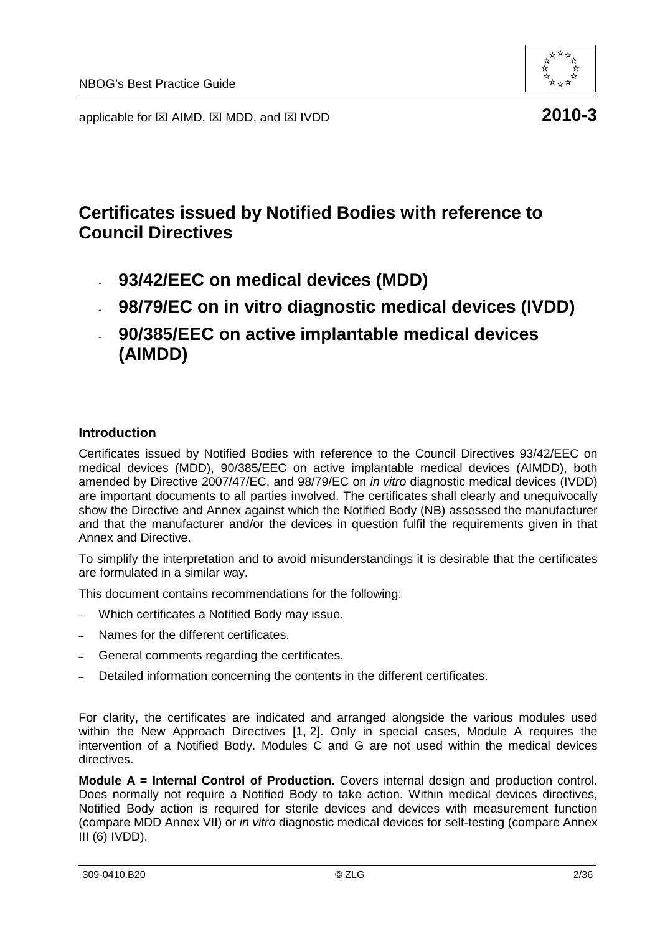

applicable for  $\boxtimes$  AIMD,  $\boxtimes$  MDD, and  $\boxtimes$  IVDD **2010-3** 

# **Certificates issued by Notified Bodies with reference to Council Directives**

- **93/42/EEC on medical devices (MDD)**
- **98/79/EC on in vitro diagnostic medical devices (IVDD)**
- **90/385/EEC on active implantable medical devices (AIMDD)**

#### **Introduction**

Certificates issued by Notified Bodies with reference to the Council Directives 93/42/EEC on medical devices (MDD), 90/385/EEC on active implantable medical devices (AIMDD), both amended by Directive 2007/47/EC, and 98/79/EC on in vitro diagnostic medical devices (IVDD) are important documents to all parties involved. The certificates shall clearly and unequivocally show the Directive and Annex against which the Notified Body (NB) assessed the manufacturer and that the manufacturer and/or the devices in question fulfil the requirements given in that Annex and Directive.

To simplify the interpretation and to avoid misunderstandings it is desirable that the certificates are formulated in a similar way.

This document contains recommendations for the following:

- Which certificates a Notified Body may issue.
- Names for the different certificates.
- General comments regarding the certificates.
- Detailed information concerning the contents in the different certificates.

For clarity, the certificates are indicated and arranged alongside the various modules used within the New Approach Directives [1, 2]. Only in special cases, Module A requires the intervention of a Notified Body. Modules C and G are not used within the medical devices directives.

**Module A = Internal Control of Production.** Covers internal design and production control. Does normally not require a Notified Body to take action. Within medical devices directives, Notified Body action is required for sterile devices and devices with measurement function (compare MDD Annex VII) or in vitro diagnostic medical devices for self-testing (compare Annex III (6) IVDD).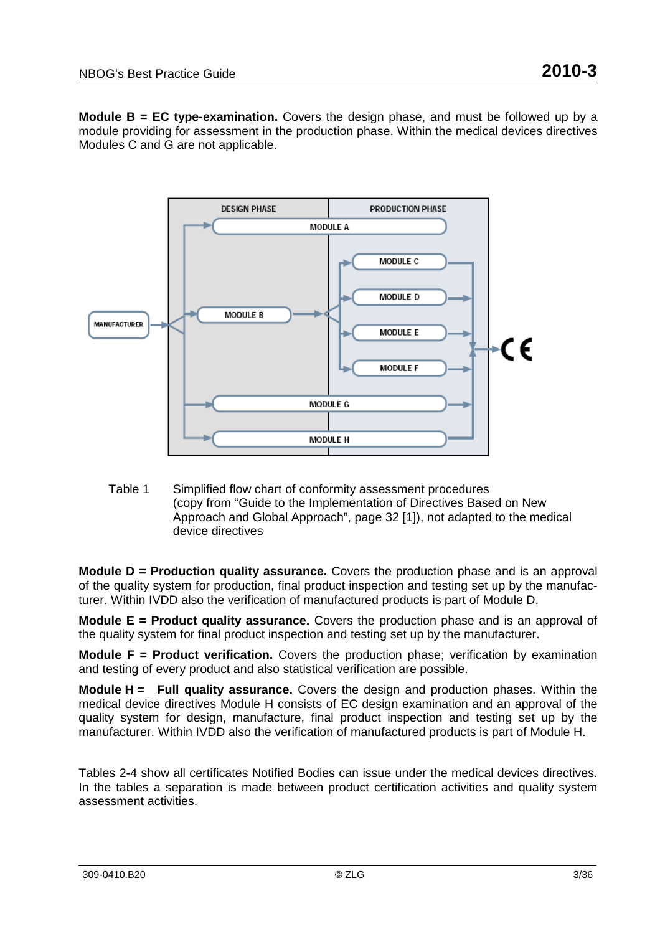**Module B = EC type-examination.** Covers the design phase, and must be followed up by a module providing for assessment in the production phase. Within the medical devices directives Modules C and G are not applicable.



Table 1 Simplified flow chart of conformity assessment procedures (copy from "Guide to the Implementation of Directives Based on New Approach and Global Approach", page 32 [1]), not adapted to the medical device directives

**Module D = Production quality assurance.** Covers the production phase and is an approval of the quality system for production, final product inspection and testing set up by the manufacturer. Within IVDD also the verification of manufactured products is part of Module D.

**Module E = Product quality assurance.** Covers the production phase and is an approval of the quality system for final product inspection and testing set up by the manufacturer.

**Module F = Product verification.** Covers the production phase; verification by examination and testing of every product and also statistical verification are possible.

**Module H = Full quality assurance.** Covers the design and production phases. Within the medical device directives Module H consists of EC design examination and an approval of the quality system for design, manufacture, final product inspection and testing set up by the manufacturer. Within IVDD also the verification of manufactured products is part of Module H.

Tables 2-4 show all certificates Notified Bodies can issue under the medical devices directives. In the tables a separation is made between product certification activities and quality system assessment activities.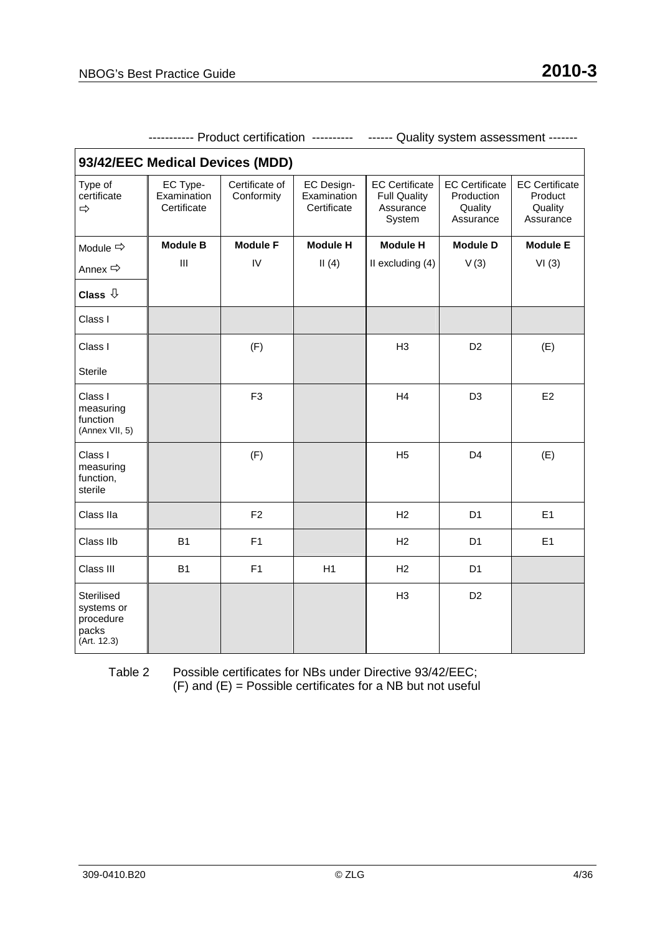| 93/42/EEC Medical Devices (MDD)                               |                                        |                              |                                          |                                                                     |                                                             |                                                          |
|---------------------------------------------------------------|----------------------------------------|------------------------------|------------------------------------------|---------------------------------------------------------------------|-------------------------------------------------------------|----------------------------------------------------------|
| Type of<br>certificate<br>⇨                                   | EC Type-<br>Examination<br>Certificate | Certificate of<br>Conformity | EC Design-<br>Examination<br>Certificate | <b>EC Certificate</b><br><b>Full Quality</b><br>Assurance<br>System | <b>EC Certificate</b><br>Production<br>Quality<br>Assurance | <b>EC Certificate</b><br>Product<br>Quality<br>Assurance |
| Module $\Rightarrow$                                          | <b>Module B</b>                        | <b>Module F</b>              | <b>Module H</b>                          | <b>Module H</b>                                                     | <b>Module D</b>                                             | <b>Module E</b>                                          |
| Annex <>                                                      | Ш                                      | IV                           | II(4)                                    | II excluding (4)                                                    | V(3)                                                        | VI(3)                                                    |
| Class $\sqrt[1]{ }$                                           |                                        |                              |                                          |                                                                     |                                                             |                                                          |
| Class I                                                       |                                        |                              |                                          |                                                                     |                                                             |                                                          |
| Class I                                                       |                                        | (F)                          |                                          | H <sub>3</sub>                                                      | D <sub>2</sub>                                              | (E)                                                      |
| <b>Sterile</b>                                                |                                        |                              |                                          |                                                                     |                                                             |                                                          |
| Class I<br>measuring<br>function<br>(Annex VII, 5)            |                                        | F <sub>3</sub>               |                                          | H4                                                                  | D <sub>3</sub>                                              | E <sub>2</sub>                                           |
| Class I<br>measuring<br>function,<br>sterile                  |                                        | (F)                          |                                          | H <sub>5</sub>                                                      | D <sub>4</sub>                                              | (E)                                                      |
| Class IIa                                                     |                                        | F <sub>2</sub>               |                                          | H <sub>2</sub>                                                      | D <sub>1</sub>                                              | E1                                                       |
| Class IIb                                                     | B <sub>1</sub>                         | F <sub>1</sub>               |                                          | H <sub>2</sub>                                                      | D <sub>1</sub>                                              | E1                                                       |
| Class III                                                     | <b>B1</b>                              | F1                           | H1                                       | H2                                                                  | D <sub>1</sub>                                              |                                                          |
| Sterilised<br>systems or<br>procedure<br>packs<br>(Art. 12.3) |                                        |                              |                                          | H <sub>3</sub>                                                      | D <sub>2</sub>                                              |                                                          |

----------- Product certification ---------- ------ Quality system assessment -------

Table 2 Possible certificates for NBs under Directive 93/42/EEC;  $(F)$  and  $(E)$  = Possible certificates for a NB but not useful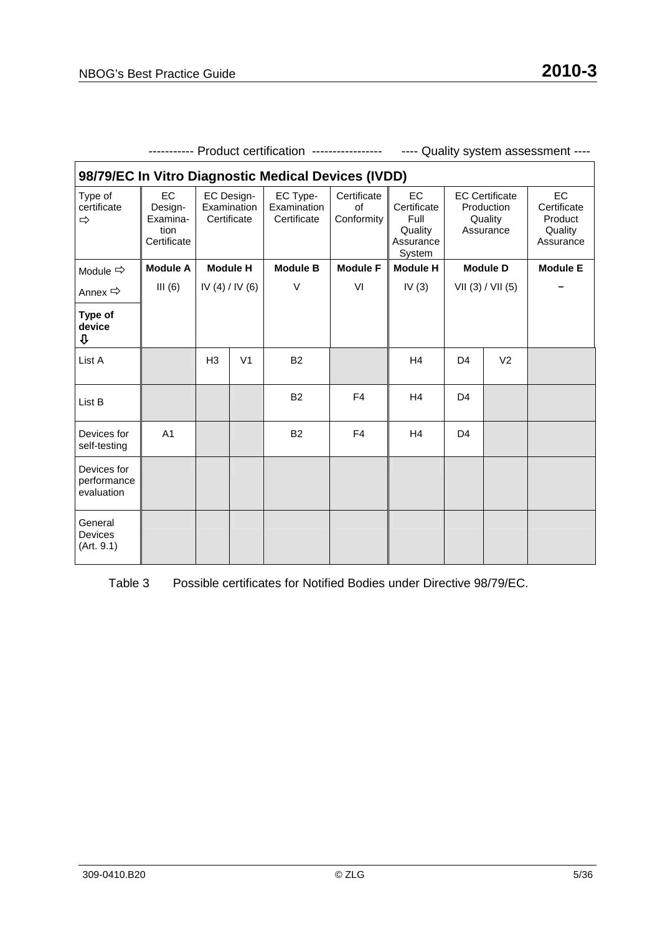| 98/79/EC In Vitro Diagnostic Medical Devices (IVDD) |                                                  |                                          |                |                                        |                                 |                                                                    |                   |                                                             |                                                             |
|-----------------------------------------------------|--------------------------------------------------|------------------------------------------|----------------|----------------------------------------|---------------------------------|--------------------------------------------------------------------|-------------------|-------------------------------------------------------------|-------------------------------------------------------------|
| Type of<br>certificate<br>$\Rightarrow$             | EC<br>Design-<br>Examina-<br>tion<br>Certificate | EC Design-<br>Examination<br>Certificate |                | EC Type-<br>Examination<br>Certificate | Certificate<br>of<br>Conformity | <b>EC</b><br>Certificate<br>Full<br>Quality<br>Assurance<br>System |                   | <b>EC Certificate</b><br>Production<br>Quality<br>Assurance | <b>EC</b><br>Certificate<br>Product<br>Quality<br>Assurance |
| Module $\Rightarrow$                                | <b>Module A</b>                                  | <b>Module H</b>                          |                | <b>Module B</b>                        | <b>Module F</b>                 | <b>Module H</b>                                                    | <b>Module D</b>   |                                                             | <b>Module E</b>                                             |
| Annex $\Rightarrow$                                 | III(6)                                           | IV (4) / IV (6)                          |                | $\vee$                                 | VI                              | IV $(3)$                                                           | VII (3) / VII (5) |                                                             |                                                             |
| Type of<br>device<br>⇩                              |                                                  |                                          |                |                                        |                                 |                                                                    |                   |                                                             |                                                             |
| List A                                              |                                                  | H <sub>3</sub>                           | V <sub>1</sub> | <b>B2</b>                              |                                 | H <sub>4</sub>                                                     | D <sub>4</sub>    | V <sub>2</sub>                                              |                                                             |
| List B                                              |                                                  |                                          |                | <b>B2</b>                              | F4                              | H <sub>4</sub>                                                     | D <sub>4</sub>    |                                                             |                                                             |
| Devices for<br>self-testing                         | A <sub>1</sub>                                   |                                          |                | <b>B2</b>                              | F <sub>4</sub>                  | H <sub>4</sub>                                                     | D <sub>4</sub>    |                                                             |                                                             |
| Devices for<br>performance<br>evaluation            |                                                  |                                          |                |                                        |                                 |                                                                    |                   |                                                             |                                                             |
| General<br><b>Devices</b><br>(Art. 9.1)             |                                                  |                                          |                |                                        |                                 |                                                                    |                   |                                                             |                                                             |

----------- Product certification ----------------- ---- Quality system assessment ----

Table 3 Possible certificates for Notified Bodies under Directive 98/79/EC.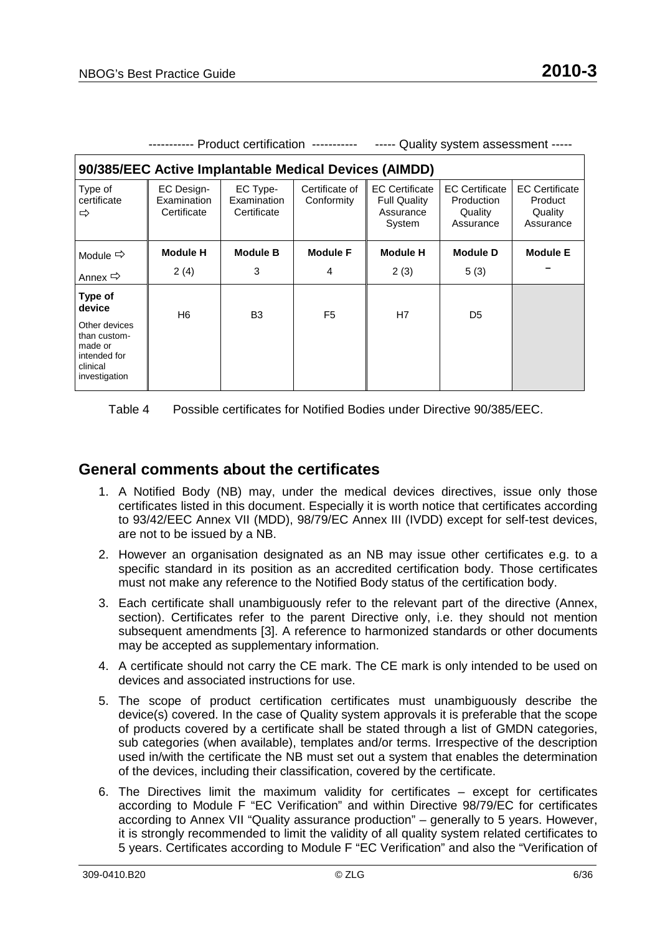|                                                                                                            |                                                 | Product certification -----------      |                              | Quality system assessment -----                                     |                                                             |                                                          |
|------------------------------------------------------------------------------------------------------------|-------------------------------------------------|----------------------------------------|------------------------------|---------------------------------------------------------------------|-------------------------------------------------------------|----------------------------------------------------------|
| 90/385/EEC Active Implantable Medical Devices (AIMDD)                                                      |                                                 |                                        |                              |                                                                     |                                                             |                                                          |
| Type of<br>certificate<br>⇨                                                                                | <b>EC Design-</b><br>Examination<br>Certificate | EC Type-<br>Examination<br>Certificate | Certificate of<br>Conformity | <b>EC Certificate</b><br><b>Full Quality</b><br>Assurance<br>System | <b>EC Certificate</b><br>Production<br>Quality<br>Assurance | <b>EC Certificate</b><br>Product<br>Quality<br>Assurance |
| Module $\Rightarrow$                                                                                       | <b>Module H</b>                                 | <b>Module B</b>                        | <b>Module F</b>              | <b>Module H</b>                                                     | <b>Module D</b>                                             | <b>Module E</b>                                          |
| Annex $\Rightarrow$                                                                                        | 2(4)                                            | 3                                      | 4                            | 2(3)                                                                | 5(3)                                                        |                                                          |
| Type of<br>device<br>Other devices<br>than custom-<br>made or<br>intended for<br>clinical<br>investigation | H6                                              | B <sub>3</sub>                         | F <sub>5</sub>               | H7                                                                  | D <sub>5</sub>                                              |                                                          |

Table 4 Possible certificates for Notified Bodies under Directive 90/385/EEC.

#### **General comments about the certificates**

- 1. A Notified Body (NB) may, under the medical devices directives, issue only those certificates listed in this document. Especially it is worth notice that certificates according to 93/42/EEC Annex VII (MDD), 98/79/EC Annex III (IVDD) except for self-test devices, are not to be issued by a NB.
- 2. However an organisation designated as an NB may issue other certificates e.g. to a specific standard in its position as an accredited certification body. Those certificates must not make any reference to the Notified Body status of the certification body.
- 3. Each certificate shall unambiguously refer to the relevant part of the directive (Annex, section). Certificates refer to the parent Directive only, i.e. they should not mention subsequent amendments [3]. A reference to harmonized standards or other documents may be accepted as supplementary information.
- 4. A certificate should not carry the CE mark. The CE mark is only intended to be used on devices and associated instructions for use.
- 5. The scope of product certification certificates must unambiguously describe the device(s) covered. In the case of Quality system approvals it is preferable that the scope of products covered by a certificate shall be stated through a list of GMDN categories, sub categories (when available), templates and/or terms. Irrespective of the description used in/with the certificate the NB must set out a system that enables the determination of the devices, including their classification, covered by the certificate.
- 6. The Directives limit the maximum validity for certificates except for certificates according to Module F "EC Verification" and within Directive 98/79/EC for certificates according to Annex VII "Quality assurance production" – generally to 5 years. However, it is strongly recommended to limit the validity of all quality system related certificates to 5 years. Certificates according to Module F "EC Verification" and also the "Verification of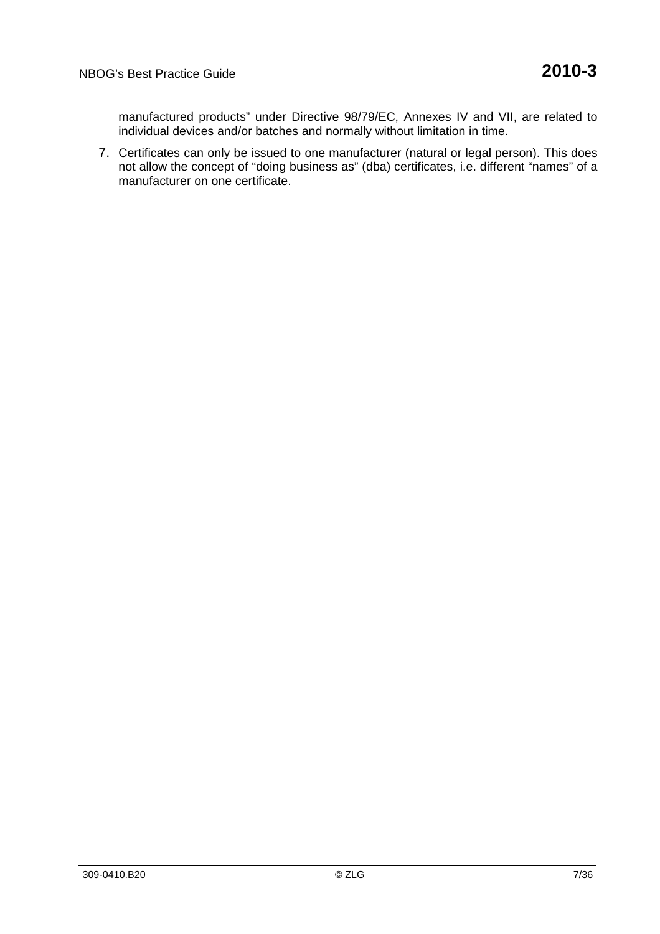manufactured products" under Directive 98/79/EC, Annexes IV and VII, are related to individual devices and/or batches and normally without limitation in time.

7. Certificates can only be issued to one manufacturer (natural or legal person). This does not allow the concept of "doing business as" (dba) certificates, i.e. different "names" of a manufacturer on one certificate.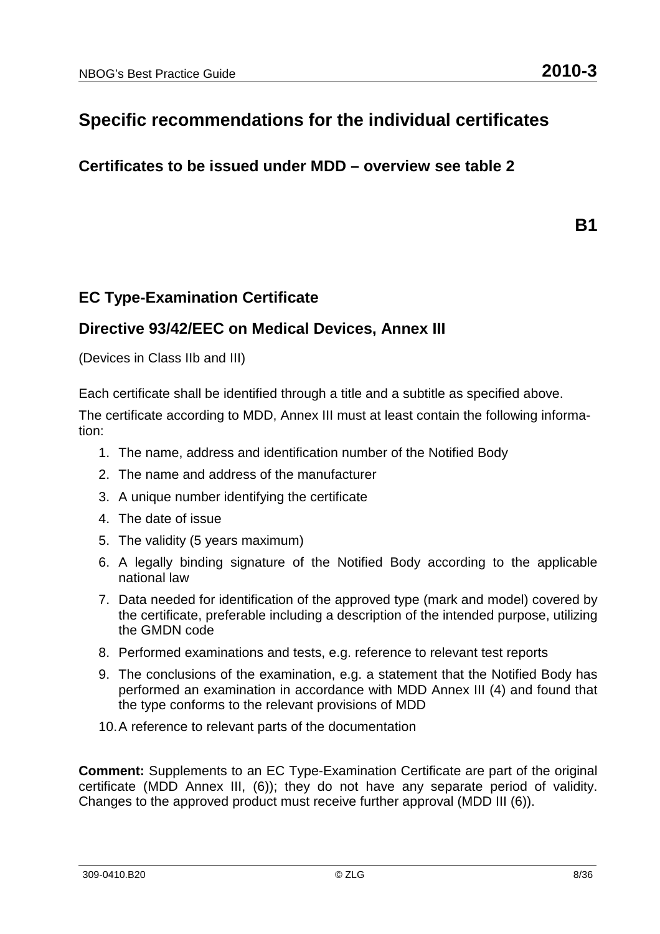# **Specific recommendations for the individual certificates**

**Certificates to be issued under MDD – overview see table 2** 

**B1** 

### **EC Type-Examination Certificate**

#### **Directive 93/42/EEC on Medical Devices, Annex III**

(Devices in Class IIb and III)

Each certificate shall be identified through a title and a subtitle as specified above.

The certificate according to MDD, Annex III must at least contain the following information:

- 1. The name, address and identification number of the Notified Body
- 2. The name and address of the manufacturer
- 3. A unique number identifying the certificate
- 4. The date of issue
- 5. The validity (5 years maximum)
- 6. A legally binding signature of the Notified Body according to the applicable national law
- 7. Data needed for identification of the approved type (mark and model) covered by the certificate, preferable including a description of the intended purpose, utilizing the GMDN code
- 8. Performed examinations and tests, e.g. reference to relevant test reports
- 9. The conclusions of the examination, e.g. a statement that the Notified Body has performed an examination in accordance with MDD Annex III (4) and found that the type conforms to the relevant provisions of MDD
- 10. A reference to relevant parts of the documentation

**Comment:** Supplements to an EC Type-Examination Certificate are part of the original certificate (MDD Annex III, (6)); they do not have any separate period of validity. Changes to the approved product must receive further approval (MDD III (6)).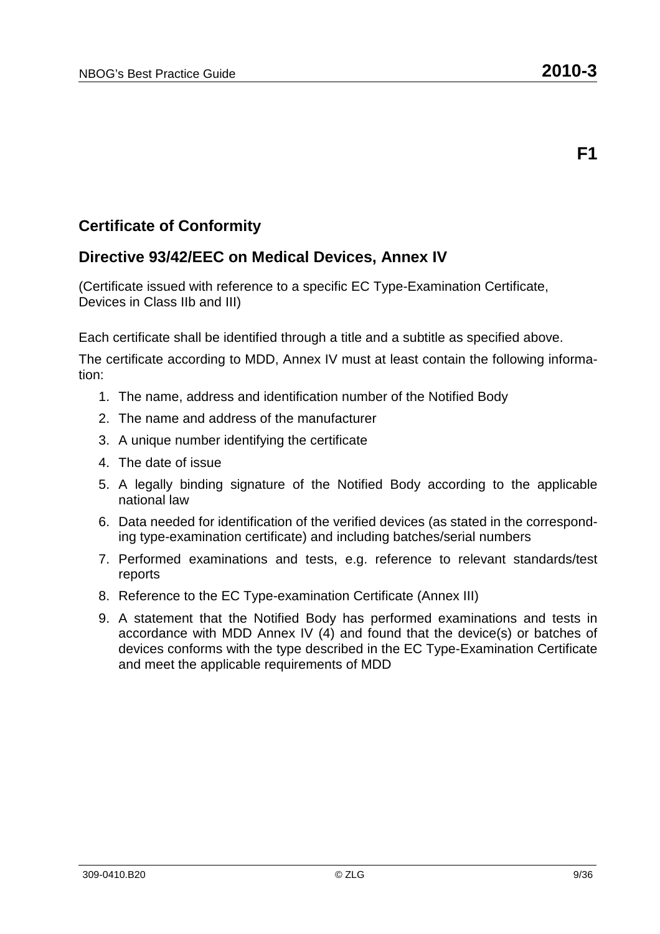## **Certificate of Conformity**

### **Directive 93/42/EEC on Medical Devices, Annex IV**

(Certificate issued with reference to a specific EC Type-Examination Certificate, Devices in Class IIb and III)

Each certificate shall be identified through a title and a subtitle as specified above.

- 1. The name, address and identification number of the Notified Body
- 2. The name and address of the manufacturer
- 3. A unique number identifying the certificate
- 4. The date of issue
- 5. A legally binding signature of the Notified Body according to the applicable national law
- 6. Data needed for identification of the verified devices (as stated in the corresponding type-examination certificate) and including batches/serial numbers
- 7. Performed examinations and tests, e.g. reference to relevant standards/test reports
- 8. Reference to the EC Type-examination Certificate (Annex III)
- 9. A statement that the Notified Body has performed examinations and tests in accordance with MDD Annex IV (4) and found that the device(s) or batches of devices conforms with the type described in the EC Type-Examination Certificate and meet the applicable requirements of MDD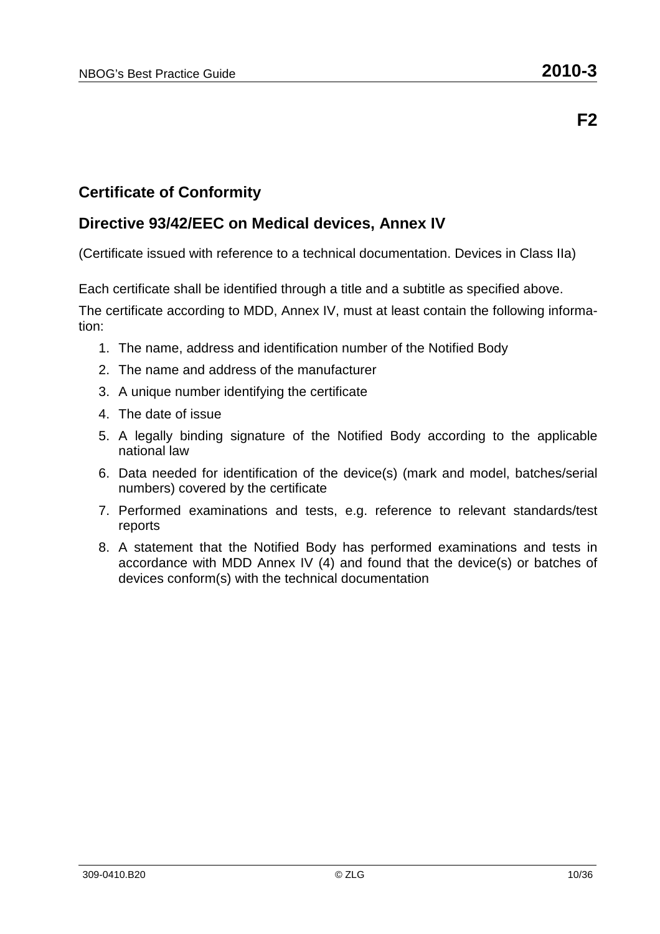### **Certificate of Conformity**

#### **Directive 93/42/EEC on Medical devices, Annex IV**

(Certificate issued with reference to a technical documentation. Devices in Class IIa)

Each certificate shall be identified through a title and a subtitle as specified above. The certificate according to MDD, Annex IV, must at least contain the following information:

- 1. The name, address and identification number of the Notified Body
- 2. The name and address of the manufacturer
- 3. A unique number identifying the certificate
- 4. The date of issue
- 5. A legally binding signature of the Notified Body according to the applicable national law
- 6. Data needed for identification of the device(s) (mark and model, batches/serial numbers) covered by the certificate
- 7. Performed examinations and tests, e.g. reference to relevant standards/test reports
- 8. A statement that the Notified Body has performed examinations and tests in accordance with MDD Annex IV (4) and found that the device(s) or batches of devices conform(s) with the technical documentation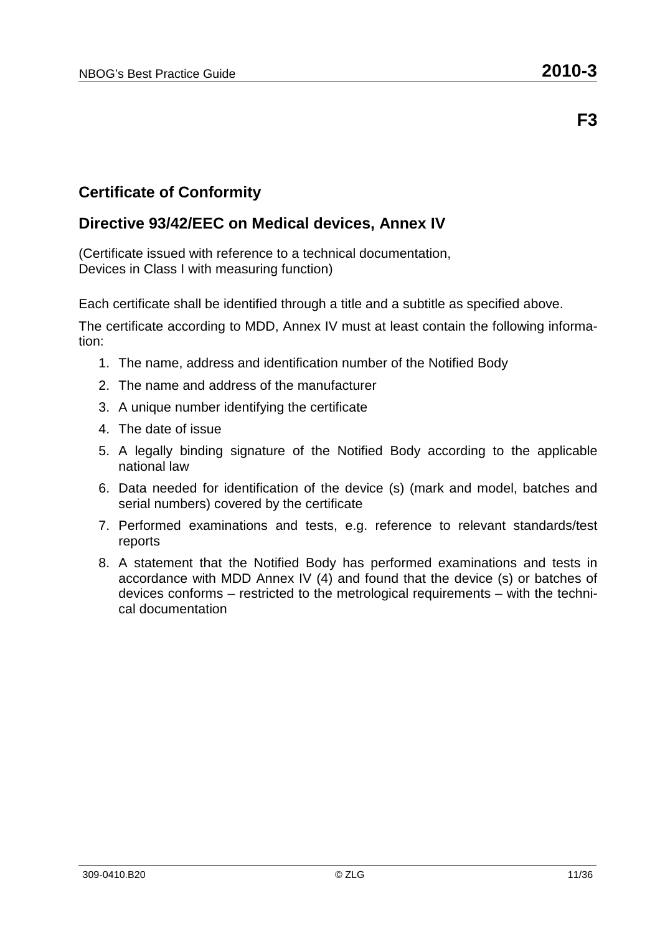**F3** 

### **Certificate of Conformity**

### **Directive 93/42/EEC on Medical devices, Annex IV**

(Certificate issued with reference to a technical documentation, Devices in Class I with measuring function)

Each certificate shall be identified through a title and a subtitle as specified above.

- 1. The name, address and identification number of the Notified Body
- 2. The name and address of the manufacturer
- 3. A unique number identifying the certificate
- 4. The date of issue
- 5. A legally binding signature of the Notified Body according to the applicable national law
- 6. Data needed for identification of the device (s) (mark and model, batches and serial numbers) covered by the certificate
- 7. Performed examinations and tests, e.g. reference to relevant standards/test reports
- 8. A statement that the Notified Body has performed examinations and tests in accordance with MDD Annex IV (4) and found that the device (s) or batches of devices conforms – restricted to the metrological requirements – with the technical documentation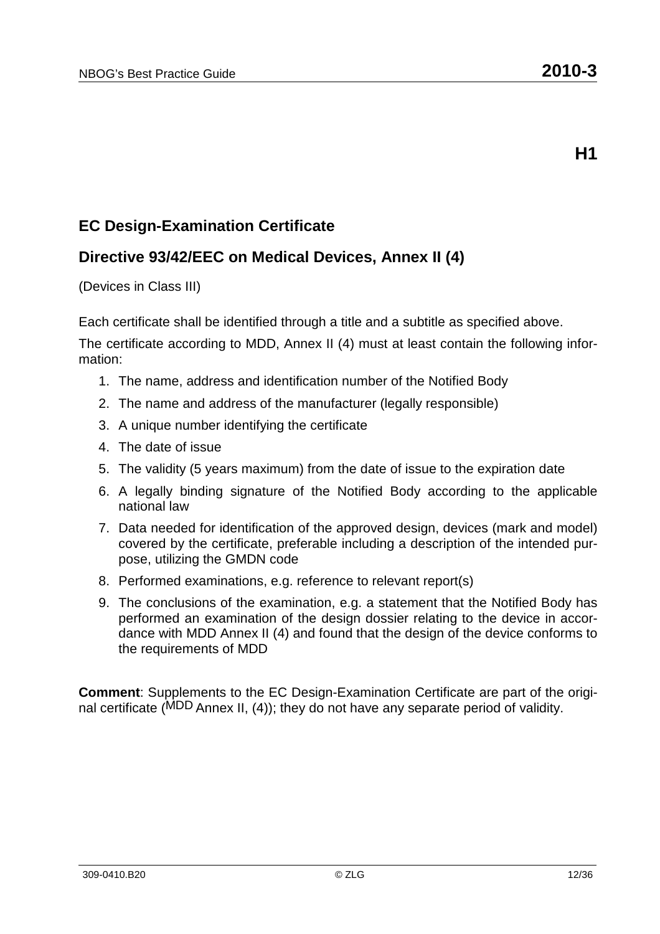### **EC Design-Examination Certificate**

### **Directive 93/42/EEC on Medical Devices, Annex II (4)**

(Devices in Class III)

Each certificate shall be identified through a title and a subtitle as specified above.

The certificate according to MDD, Annex II (4) must at least contain the following information:

- 1. The name, address and identification number of the Notified Body
- 2. The name and address of the manufacturer (legally responsible)
- 3. A unique number identifying the certificate
- 4. The date of issue
- 5. The validity (5 years maximum) from the date of issue to the expiration date
- 6. A legally binding signature of the Notified Body according to the applicable national law
- 7. Data needed for identification of the approved design, devices (mark and model) covered by the certificate, preferable including a description of the intended purpose, utilizing the GMDN code
- 8. Performed examinations, e.g. reference to relevant report(s)
- 9. The conclusions of the examination, e.g. a statement that the Notified Body has performed an examination of the design dossier relating to the device in accordance with MDD Annex II (4) and found that the design of the device conforms to the requirements of MDD

**Comment**: Supplements to the EC Design-Examination Certificate are part of the original certificate (MDD Annex II, (4)); they do not have any separate period of validity.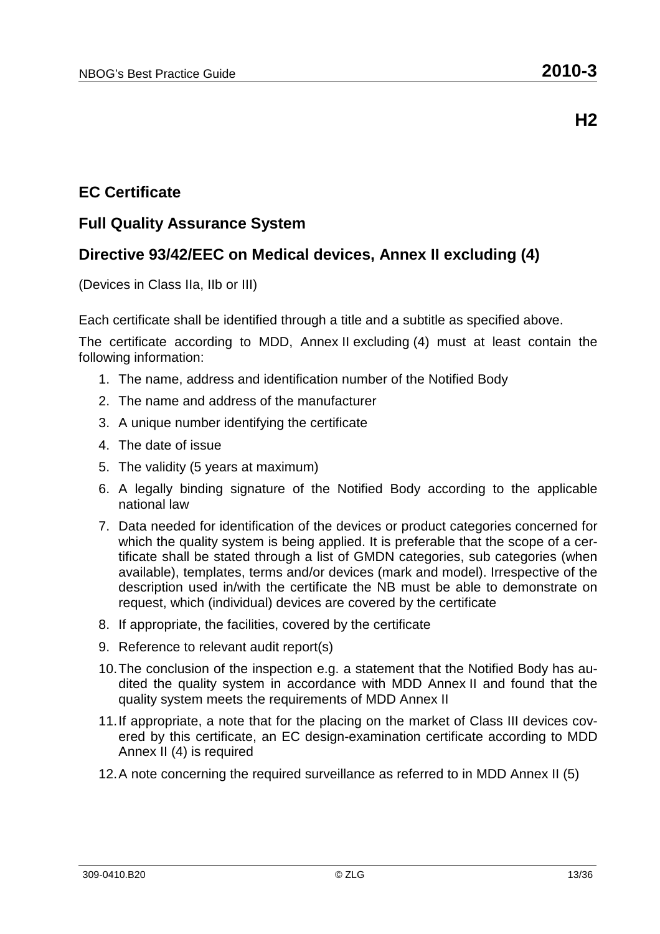### **EC Certificate**

#### **Full Quality Assurance System**

### **Directive 93/42/EEC on Medical devices, Annex II excluding (4)**

(Devices in Class IIa, IIb or III)

Each certificate shall be identified through a title and a subtitle as specified above.

- 1. The name, address and identification number of the Notified Body
- 2. The name and address of the manufacturer
- 3. A unique number identifying the certificate
- 4. The date of issue
- 5. The validity (5 years at maximum)
- 6. A legally binding signature of the Notified Body according to the applicable national law
- 7. Data needed for identification of the devices or product categories concerned for which the quality system is being applied. It is preferable that the scope of a certificate shall be stated through a list of GMDN categories, sub categories (when available), templates, terms and/or devices (mark and model). Irrespective of the description used in/with the certificate the NB must be able to demonstrate on request, which (individual) devices are covered by the certificate
- 8. If appropriate, the facilities, covered by the certificate
- 9. Reference to relevant audit report(s)
- 10. The conclusion of the inspection e.g. a statement that the Notified Body has audited the quality system in accordance with MDD Annex II and found that the quality system meets the requirements of MDD Annex II
- 11. If appropriate, a note that for the placing on the market of Class III devices covered by this certificate, an EC design-examination certificate according to MDD Annex II (4) is required
- 12. A note concerning the required surveillance as referred to in MDD Annex II (5)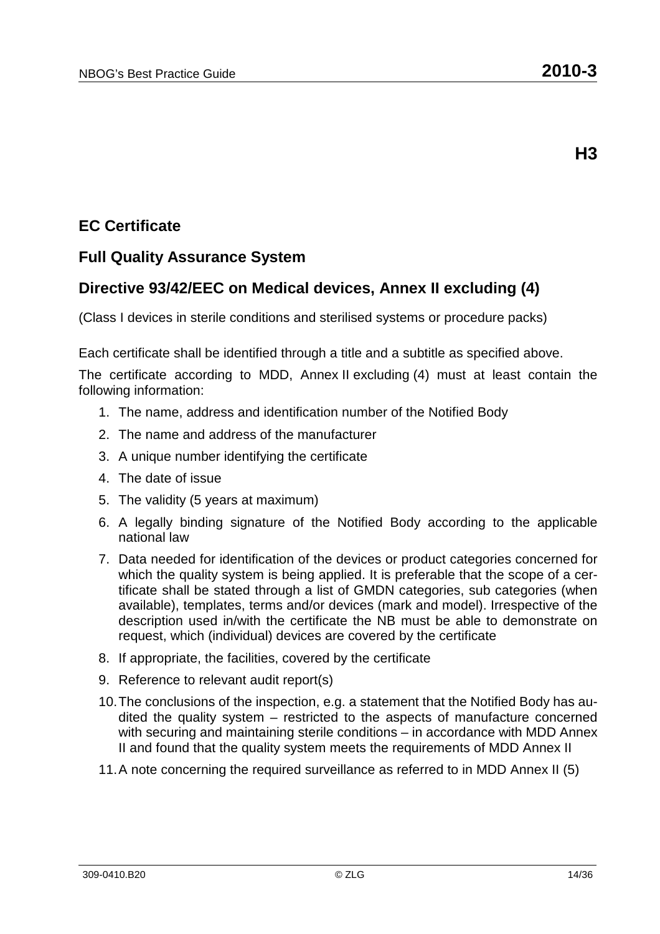## **EC Certificate**

### **Full Quality Assurance System**

### **Directive 93/42/EEC on Medical devices, Annex II excluding (4)**

(Class I devices in sterile conditions and sterilised systems or procedure packs)

Each certificate shall be identified through a title and a subtitle as specified above.

- 1. The name, address and identification number of the Notified Body
- 2. The name and address of the manufacturer
- 3. A unique number identifying the certificate
- 4. The date of issue
- 5. The validity (5 years at maximum)
- 6. A legally binding signature of the Notified Body according to the applicable national law
- 7. Data needed for identification of the devices or product categories concerned for which the quality system is being applied. It is preferable that the scope of a certificate shall be stated through a list of GMDN categories, sub categories (when available), templates, terms and/or devices (mark and model). Irrespective of the description used in/with the certificate the NB must be able to demonstrate on request, which (individual) devices are covered by the certificate
- 8. If appropriate, the facilities, covered by the certificate
- 9. Reference to relevant audit report(s)
- 10. The conclusions of the inspection, e.g. a statement that the Notified Body has audited the quality system – restricted to the aspects of manufacture concerned with securing and maintaining sterile conditions – in accordance with MDD Annex II and found that the quality system meets the requirements of MDD Annex II
- 11. A note concerning the required surveillance as referred to in MDD Annex II (5)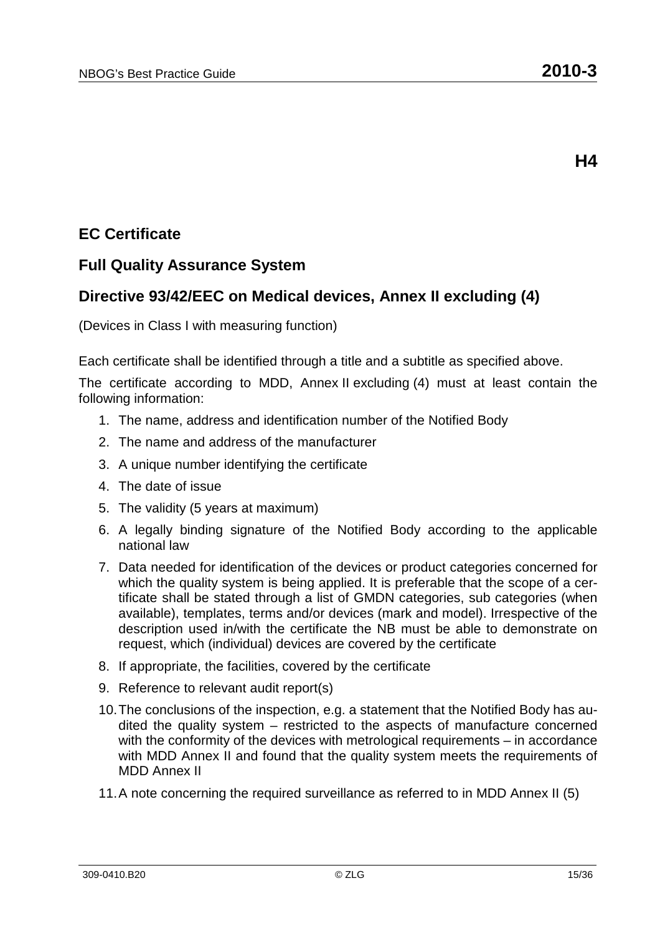# **EC Certificate**

#### **Full Quality Assurance System**

#### **Directive 93/42/EEC on Medical devices, Annex II excluding (4)**

(Devices in Class I with measuring function)

Each certificate shall be identified through a title and a subtitle as specified above.

- 1. The name, address and identification number of the Notified Body
- 2. The name and address of the manufacturer
- 3. A unique number identifying the certificate
- 4. The date of issue
- 5. The validity (5 years at maximum)
- 6. A legally binding signature of the Notified Body according to the applicable national law
- 7. Data needed for identification of the devices or product categories concerned for which the quality system is being applied. It is preferable that the scope of a certificate shall be stated through a list of GMDN categories, sub categories (when available), templates, terms and/or devices (mark and model). Irrespective of the description used in/with the certificate the NB must be able to demonstrate on request, which (individual) devices are covered by the certificate
- 8. If appropriate, the facilities, covered by the certificate
- 9. Reference to relevant audit report(s)
- 10. The conclusions of the inspection, e.g. a statement that the Notified Body has audited the quality system – restricted to the aspects of manufacture concerned with the conformity of the devices with metrological requirements – in accordance with MDD Annex II and found that the quality system meets the requirements of MDD Annex II
- 11. A note concerning the required surveillance as referred to in MDD Annex II (5)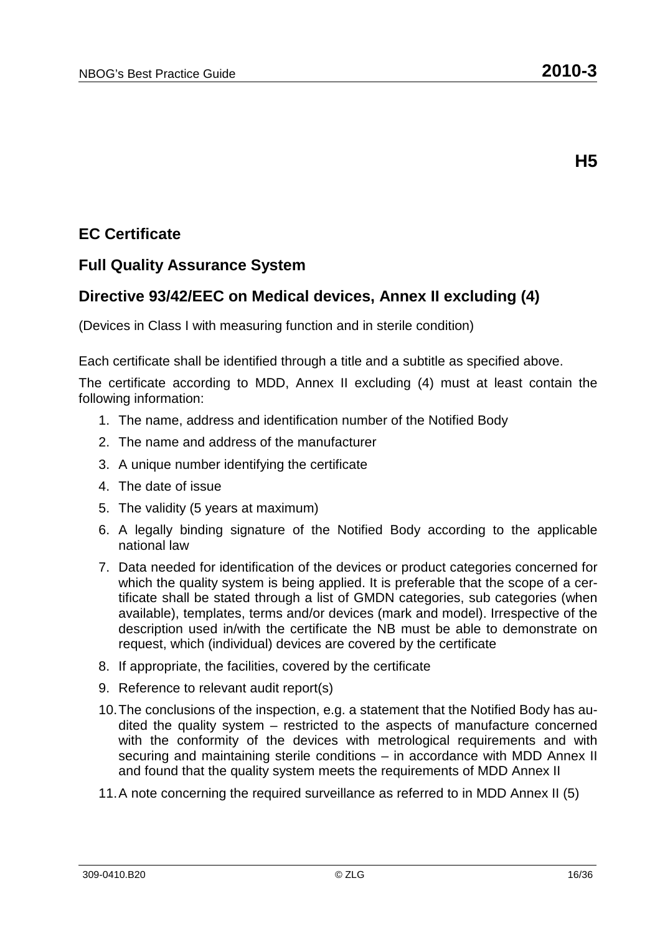## **EC Certificate**

#### **Full Quality Assurance System**

#### **Directive 93/42/EEC on Medical devices, Annex II excluding (4)**

(Devices in Class I with measuring function and in sterile condition)

Each certificate shall be identified through a title and a subtitle as specified above.

- 1. The name, address and identification number of the Notified Body
- 2. The name and address of the manufacturer
- 3. A unique number identifying the certificate
- 4. The date of issue
- 5. The validity (5 years at maximum)
- 6. A legally binding signature of the Notified Body according to the applicable national law
- 7. Data needed for identification of the devices or product categories concerned for which the quality system is being applied. It is preferable that the scope of a certificate shall be stated through a list of GMDN categories, sub categories (when available), templates, terms and/or devices (mark and model). Irrespective of the description used in/with the certificate the NB must be able to demonstrate on request, which (individual) devices are covered by the certificate
- 8. If appropriate, the facilities, covered by the certificate
- 9. Reference to relevant audit report(s)
- 10. The conclusions of the inspection, e.g. a statement that the Notified Body has audited the quality system – restricted to the aspects of manufacture concerned with the conformity of the devices with metrological requirements and with securing and maintaining sterile conditions – in accordance with MDD Annex II and found that the quality system meets the requirements of MDD Annex II
- 11. A note concerning the required surveillance as referred to in MDD Annex II (5)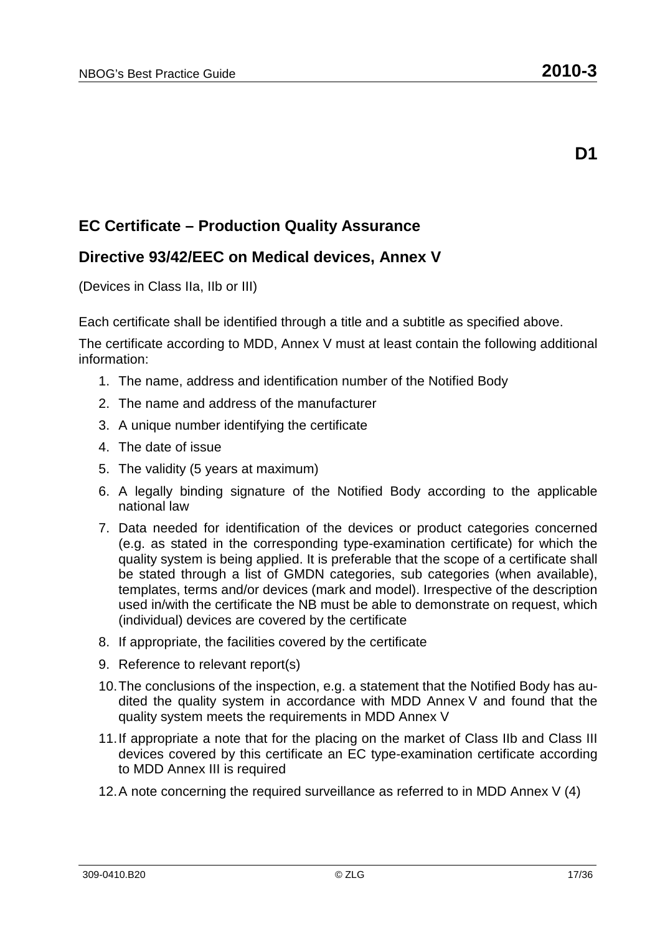#### **Directive 93/42/EEC on Medical devices, Annex V**

(Devices in Class IIa, IIb or III)

Each certificate shall be identified through a title and a subtitle as specified above.

The certificate according to MDD, Annex V must at least contain the following additional information:

- 1. The name, address and identification number of the Notified Body
- 2. The name and address of the manufacturer
- 3. A unique number identifying the certificate
- 4. The date of issue
- 5. The validity (5 years at maximum)
- 6. A legally binding signature of the Notified Body according to the applicable national law
- 7. Data needed for identification of the devices or product categories concerned (e.g. as stated in the corresponding type-examination certificate) for which the quality system is being applied. It is preferable that the scope of a certificate shall be stated through a list of GMDN categories, sub categories (when available), templates, terms and/or devices (mark and model). Irrespective of the description used in/with the certificate the NB must be able to demonstrate on request, which (individual) devices are covered by the certificate
- 8. If appropriate, the facilities covered by the certificate
- 9. Reference to relevant report(s)
- 10. The conclusions of the inspection, e.g. a statement that the Notified Body has audited the quality system in accordance with MDD Annex V and found that the quality system meets the requirements in MDD Annex V
- 11. If appropriate a note that for the placing on the market of Class IIb and Class III devices covered by this certificate an EC type-examination certificate according to MDD Annex III is required
- 12. A note concerning the required surveillance as referred to in MDD Annex V (4)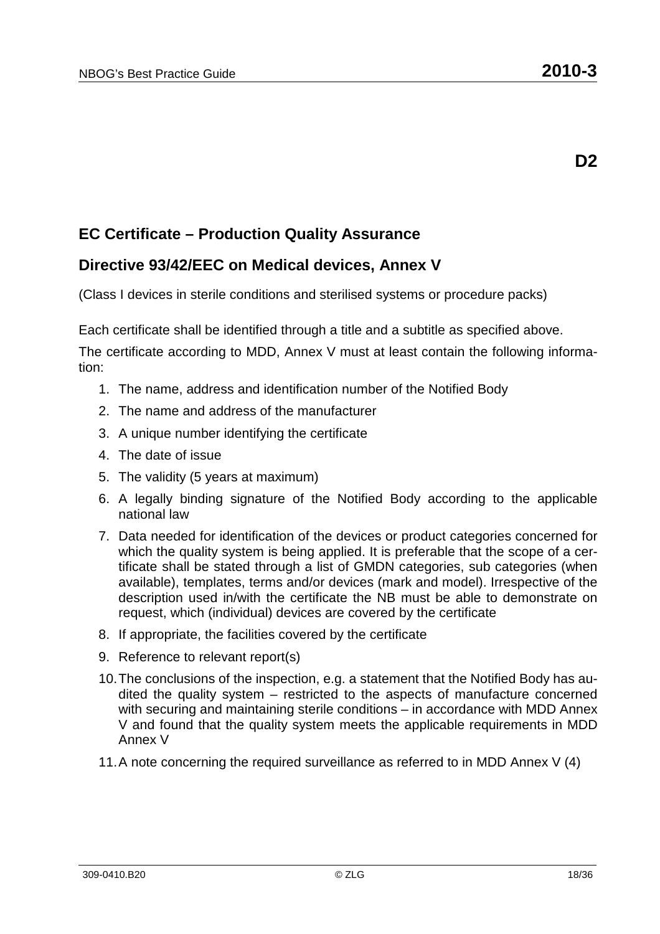#### **Directive 93/42/EEC on Medical devices, Annex V**

(Class I devices in sterile conditions and sterilised systems or procedure packs)

Each certificate shall be identified through a title and a subtitle as specified above.

- 1. The name, address and identification number of the Notified Body
- 2. The name and address of the manufacturer
- 3. A unique number identifying the certificate
- 4. The date of issue
- 5. The validity (5 years at maximum)
- 6. A legally binding signature of the Notified Body according to the applicable national law
- 7. Data needed for identification of the devices or product categories concerned for which the quality system is being applied. It is preferable that the scope of a certificate shall be stated through a list of GMDN categories, sub categories (when available), templates, terms and/or devices (mark and model). Irrespective of the description used in/with the certificate the NB must be able to demonstrate on request, which (individual) devices are covered by the certificate
- 8. If appropriate, the facilities covered by the certificate
- 9. Reference to relevant report(s)
- 10. The conclusions of the inspection, e.g. a statement that the Notified Body has audited the quality system – restricted to the aspects of manufacture concerned with securing and maintaining sterile conditions – in accordance with MDD Annex V and found that the quality system meets the applicable requirements in MDD Annex V
- 11. A note concerning the required surveillance as referred to in MDD Annex V (4)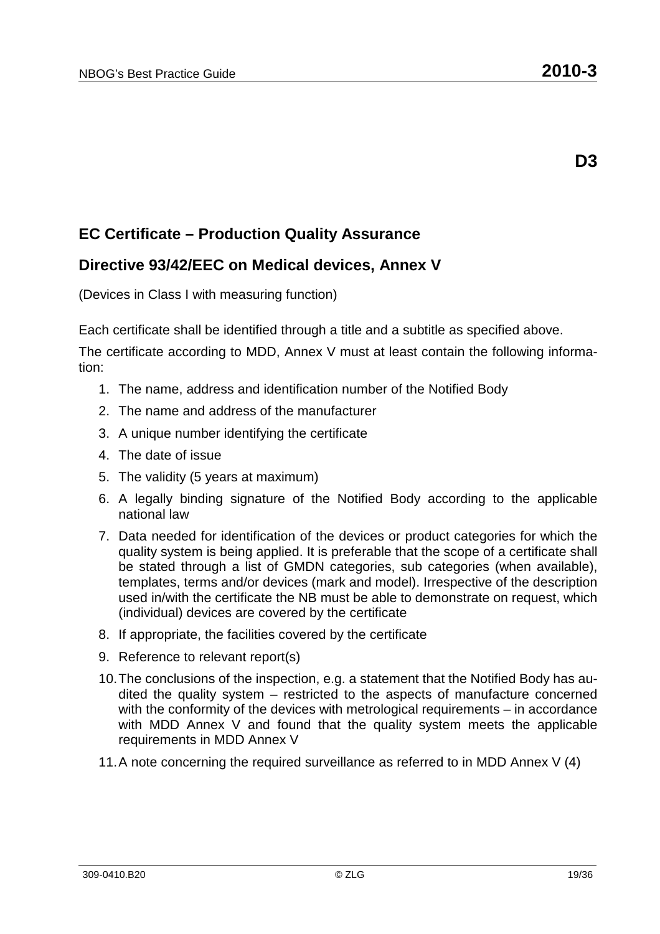#### **Directive 93/42/EEC on Medical devices, Annex V**

(Devices in Class I with measuring function)

Each certificate shall be identified through a title and a subtitle as specified above.

- 1. The name, address and identification number of the Notified Body
- 2. The name and address of the manufacturer
- 3. A unique number identifying the certificate
- 4. The date of issue
- 5. The validity (5 years at maximum)
- 6. A legally binding signature of the Notified Body according to the applicable national law
- 7. Data needed for identification of the devices or product categories for which the quality system is being applied. It is preferable that the scope of a certificate shall be stated through a list of GMDN categories, sub categories (when available), templates, terms and/or devices (mark and model). Irrespective of the description used in/with the certificate the NB must be able to demonstrate on request, which (individual) devices are covered by the certificate
- 8. If appropriate, the facilities covered by the certificate
- 9. Reference to relevant report(s)
- 10. The conclusions of the inspection, e.g. a statement that the Notified Body has audited the quality system – restricted to the aspects of manufacture concerned with the conformity of the devices with metrological requirements – in accordance with MDD Annex V and found that the quality system meets the applicable requirements in MDD Annex V
- 11. A note concerning the required surveillance as referred to in MDD Annex V (4)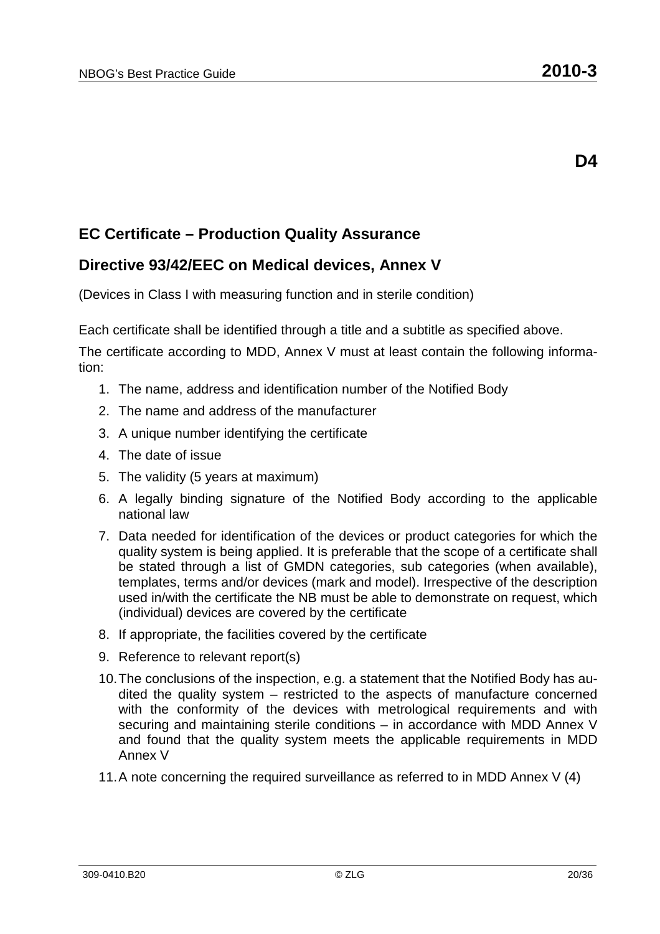#### **Directive 93/42/EEC on Medical devices, Annex V**

(Devices in Class I with measuring function and in sterile condition)

Each certificate shall be identified through a title and a subtitle as specified above.

- 1. The name, address and identification number of the Notified Body
- 2. The name and address of the manufacturer
- 3. A unique number identifying the certificate
- 4. The date of issue
- 5. The validity (5 years at maximum)
- 6. A legally binding signature of the Notified Body according to the applicable national law
- 7. Data needed for identification of the devices or product categories for which the quality system is being applied. It is preferable that the scope of a certificate shall be stated through a list of GMDN categories, sub categories (when available), templates, terms and/or devices (mark and model). Irrespective of the description used in/with the certificate the NB must be able to demonstrate on request, which (individual) devices are covered by the certificate
- 8. If appropriate, the facilities covered by the certificate
- 9. Reference to relevant report(s)
- 10. The conclusions of the inspection, e.g. a statement that the Notified Body has audited the quality system – restricted to the aspects of manufacture concerned with the conformity of the devices with metrological requirements and with securing and maintaining sterile conditions – in accordance with MDD Annex V and found that the quality system meets the applicable requirements in MDD Annex V
- 11. A note concerning the required surveillance as referred to in MDD Annex V (4)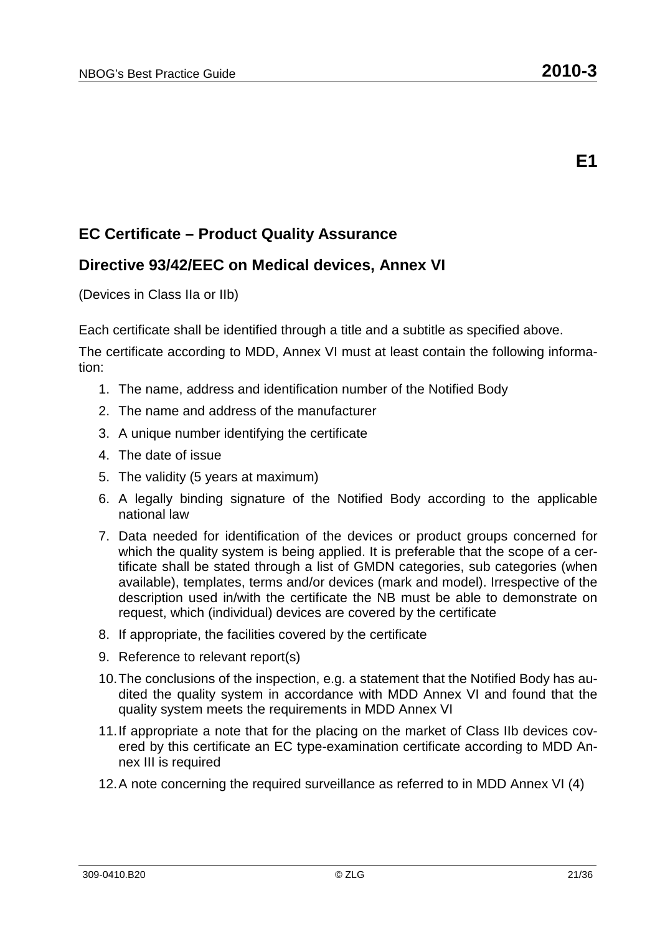#### **Directive 93/42/EEC on Medical devices, Annex VI**

(Devices in Class IIa or IIb)

Each certificate shall be identified through a title and a subtitle as specified above.

- 1. The name, address and identification number of the Notified Body
- 2. The name and address of the manufacturer
- 3. A unique number identifying the certificate
- 4. The date of issue
- 5. The validity (5 years at maximum)
- 6. A legally binding signature of the Notified Body according to the applicable national law
- 7. Data needed for identification of the devices or product groups concerned for which the quality system is being applied. It is preferable that the scope of a certificate shall be stated through a list of GMDN categories, sub categories (when available), templates, terms and/or devices (mark and model). Irrespective of the description used in/with the certificate the NB must be able to demonstrate on request, which (individual) devices are covered by the certificate
- 8. If appropriate, the facilities covered by the certificate
- 9. Reference to relevant report(s)
- 10. The conclusions of the inspection, e.g. a statement that the Notified Body has audited the quality system in accordance with MDD Annex VI and found that the quality system meets the requirements in MDD Annex VI
- 11. If appropriate a note that for the placing on the market of Class IIb devices covered by this certificate an EC type-examination certificate according to MDD Annex III is required
- 12. A note concerning the required surveillance as referred to in MDD Annex VI (4)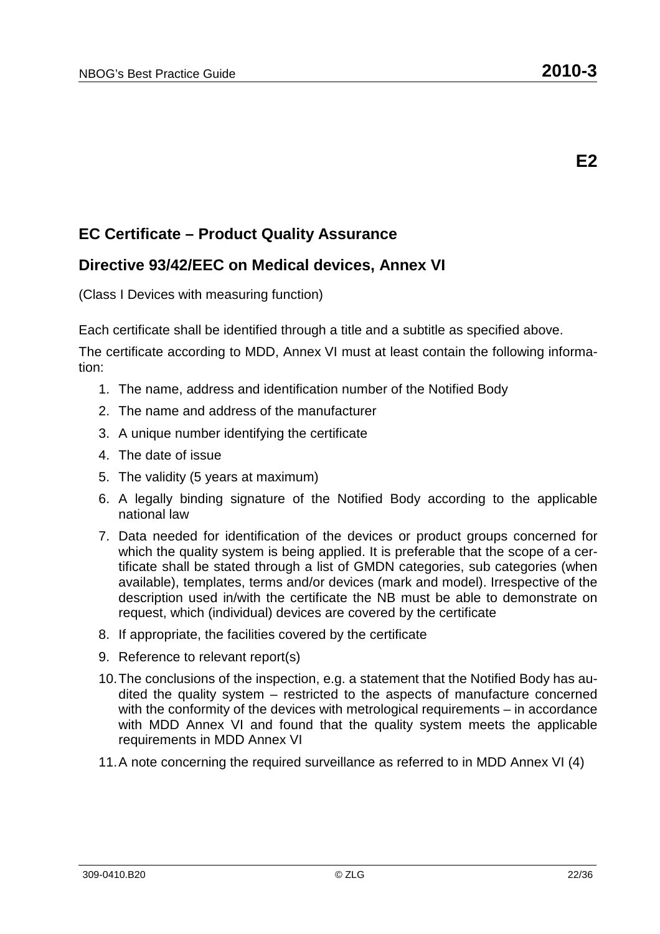#### **Directive 93/42/EEC on Medical devices, Annex VI**

(Class I Devices with measuring function)

Each certificate shall be identified through a title and a subtitle as specified above.

- 1. The name, address and identification number of the Notified Body
- 2. The name and address of the manufacturer
- 3. A unique number identifying the certificate
- 4. The date of issue
- 5. The validity (5 years at maximum)
- 6. A legally binding signature of the Notified Body according to the applicable national law
- 7. Data needed for identification of the devices or product groups concerned for which the quality system is being applied. It is preferable that the scope of a certificate shall be stated through a list of GMDN categories, sub categories (when available), templates, terms and/or devices (mark and model). Irrespective of the description used in/with the certificate the NB must be able to demonstrate on request, which (individual) devices are covered by the certificate
- 8. If appropriate, the facilities covered by the certificate
- 9. Reference to relevant report(s)
- 10. The conclusions of the inspection, e.g. a statement that the Notified Body has audited the quality system – restricted to the aspects of manufacture concerned with the conformity of the devices with metrological requirements – in accordance with MDD Annex VI and found that the quality system meets the applicable requirements in MDD Annex VI
- 11. A note concerning the required surveillance as referred to in MDD Annex VI (4)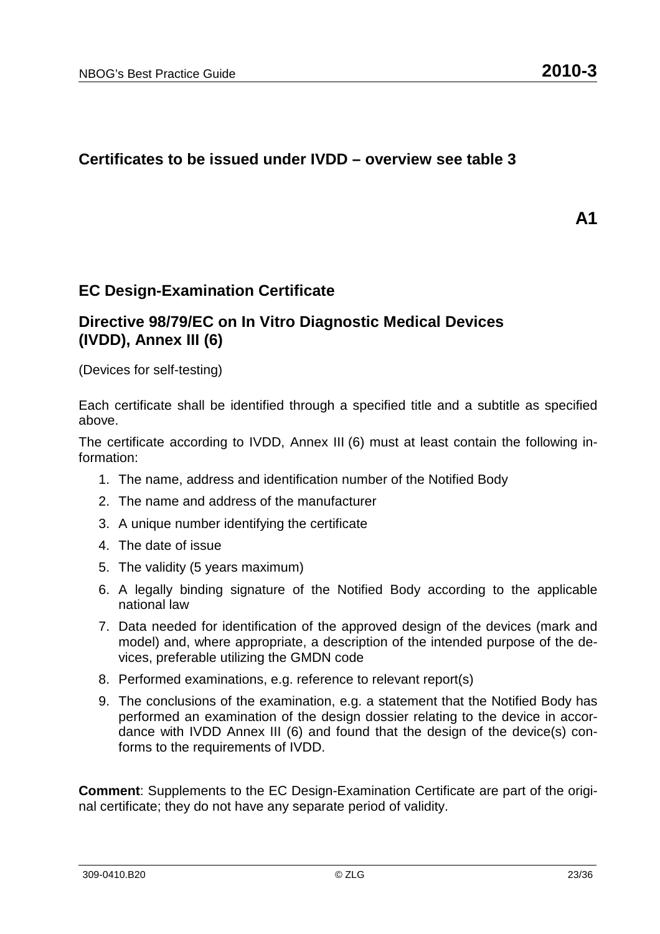#### **Certificates to be issued under IVDD – overview see table 3**

**A1** 

#### **EC Design-Examination Certificate**

#### **Directive 98/79/EC on In Vitro Diagnostic Medical Devices (IVDD), Annex III (6)**

(Devices for self-testing)

Each certificate shall be identified through a specified title and a subtitle as specified above.

The certificate according to IVDD, Annex III (6) must at least contain the following information:

- 1. The name, address and identification number of the Notified Body
- 2. The name and address of the manufacturer
- 3. A unique number identifying the certificate
- 4. The date of issue
- 5. The validity (5 years maximum)
- 6. A legally binding signature of the Notified Body according to the applicable national law
- 7. Data needed for identification of the approved design of the devices (mark and model) and, where appropriate, a description of the intended purpose of the devices, preferable utilizing the GMDN code
- 8. Performed examinations, e.g. reference to relevant report(s)
- 9. The conclusions of the examination, e.g. a statement that the Notified Body has performed an examination of the design dossier relating to the device in accordance with IVDD Annex III (6) and found that the design of the device(s) conforms to the requirements of IVDD.

**Comment**: Supplements to the EC Design-Examination Certificate are part of the original certificate; they do not have any separate period of validity.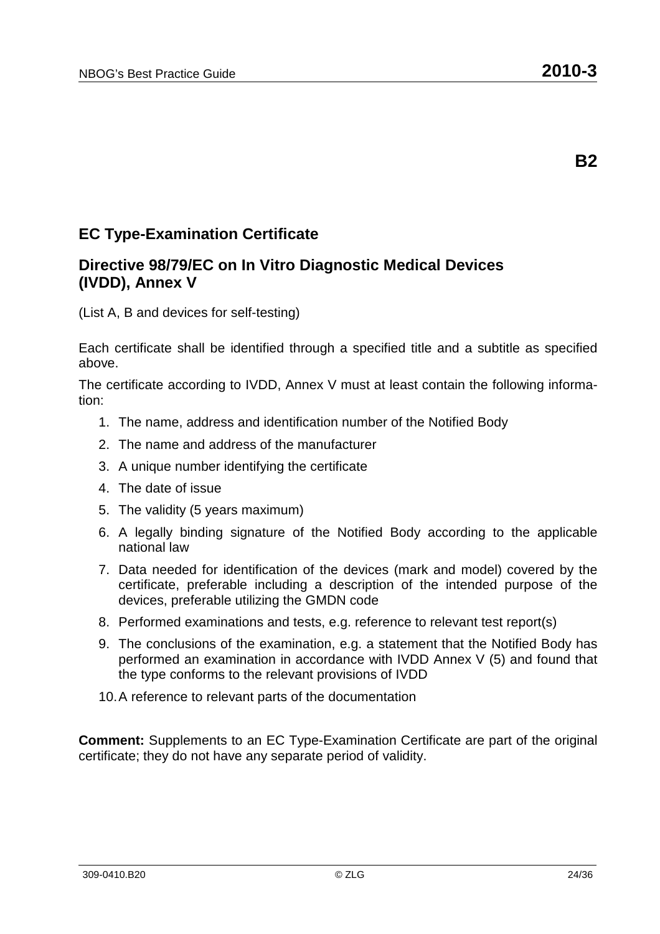## **EC Type-Examination Certificate**

#### **Directive 98/79/EC on In Vitro Diagnostic Medical Devices (IVDD), Annex V**

(List A, B and devices for self-testing)

Each certificate shall be identified through a specified title and a subtitle as specified above.

The certificate according to IVDD, Annex V must at least contain the following information:

- 1. The name, address and identification number of the Notified Body
- 2. The name and address of the manufacturer
- 3. A unique number identifying the certificate
- 4. The date of issue
- 5. The validity (5 years maximum)
- 6. A legally binding signature of the Notified Body according to the applicable national law
- 7. Data needed for identification of the devices (mark and model) covered by the certificate, preferable including a description of the intended purpose of the devices, preferable utilizing the GMDN code
- 8. Performed examinations and tests, e.g. reference to relevant test report(s)
- 9. The conclusions of the examination, e.g. a statement that the Notified Body has performed an examination in accordance with IVDD Annex V (5) and found that the type conforms to the relevant provisions of IVDD
- 10. A reference to relevant parts of the documentation

**Comment:** Supplements to an EC Type-Examination Certificate are part of the original certificate; they do not have any separate period of validity.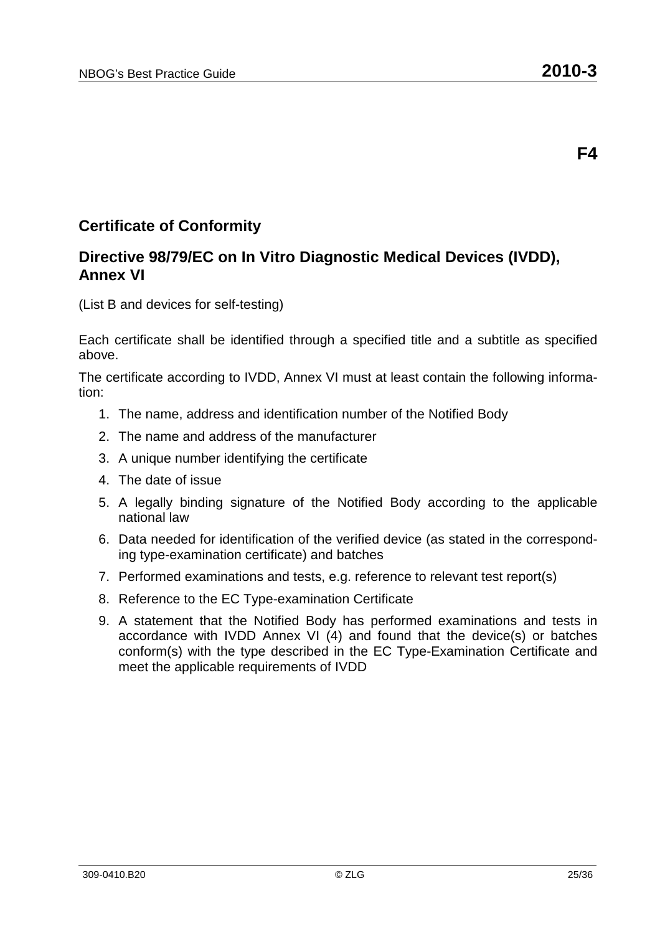### **Certificate of Conformity**

### **Directive 98/79/EC on In Vitro Diagnostic Medical Devices (IVDD), Annex VI**

(List B and devices for self-testing)

Each certificate shall be identified through a specified title and a subtitle as specified above.

The certificate according to IVDD, Annex VI must at least contain the following information:

- 1. The name, address and identification number of the Notified Body
- 2. The name and address of the manufacturer
- 3. A unique number identifying the certificate
- 4. The date of issue
- 5. A legally binding signature of the Notified Body according to the applicable national law
- 6. Data needed for identification of the verified device (as stated in the corresponding type-examination certificate) and batches
- 7. Performed examinations and tests, e.g. reference to relevant test report(s)
- 8. Reference to the EC Type-examination Certificate
- 9. A statement that the Notified Body has performed examinations and tests in accordance with IVDD Annex VI (4) and found that the device(s) or batches conform(s) with the type described in the EC Type-Examination Certificate and meet the applicable requirements of IVDD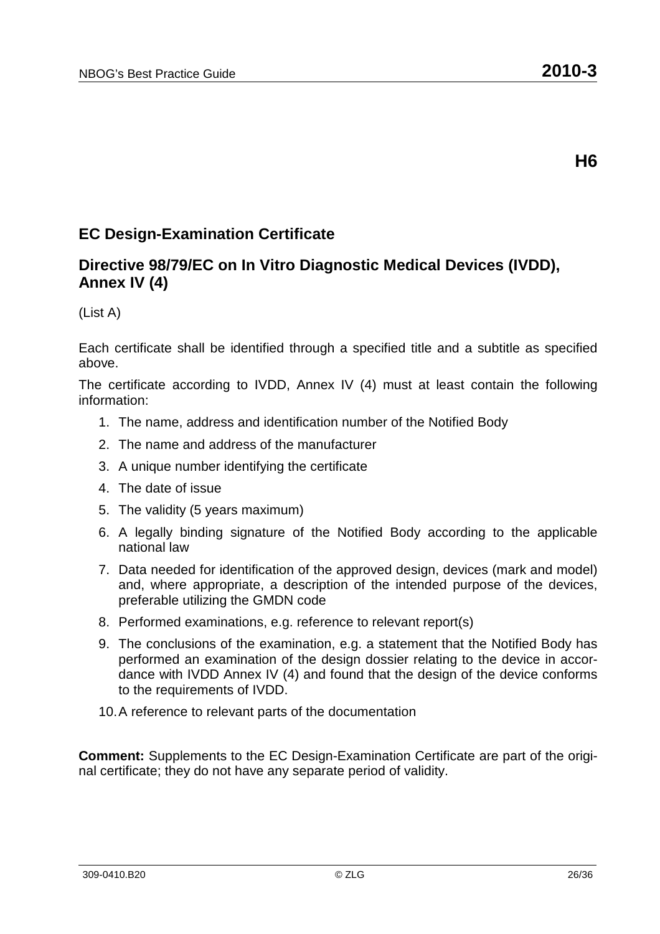## **EC Design-Examination Certificate**

### **Directive 98/79/EC on In Vitro Diagnostic Medical Devices (IVDD), Annex IV (4)**

(List A)

Each certificate shall be identified through a specified title and a subtitle as specified above.

The certificate according to IVDD, Annex IV (4) must at least contain the following information:

- 1. The name, address and identification number of the Notified Body
- 2. The name and address of the manufacturer
- 3. A unique number identifying the certificate
- 4. The date of issue
- 5. The validity (5 years maximum)
- 6. A legally binding signature of the Notified Body according to the applicable national law
- 7. Data needed for identification of the approved design, devices (mark and model) and, where appropriate, a description of the intended purpose of the devices, preferable utilizing the GMDN code
- 8. Performed examinations, e.g. reference to relevant report(s)
- 9. The conclusions of the examination, e.g. a statement that the Notified Body has performed an examination of the design dossier relating to the device in accordance with IVDD Annex IV (4) and found that the design of the device conforms to the requirements of IVDD.
- 10. A reference to relevant parts of the documentation

**Comment:** Supplements to the EC Design-Examination Certificate are part of the original certificate; they do not have any separate period of validity.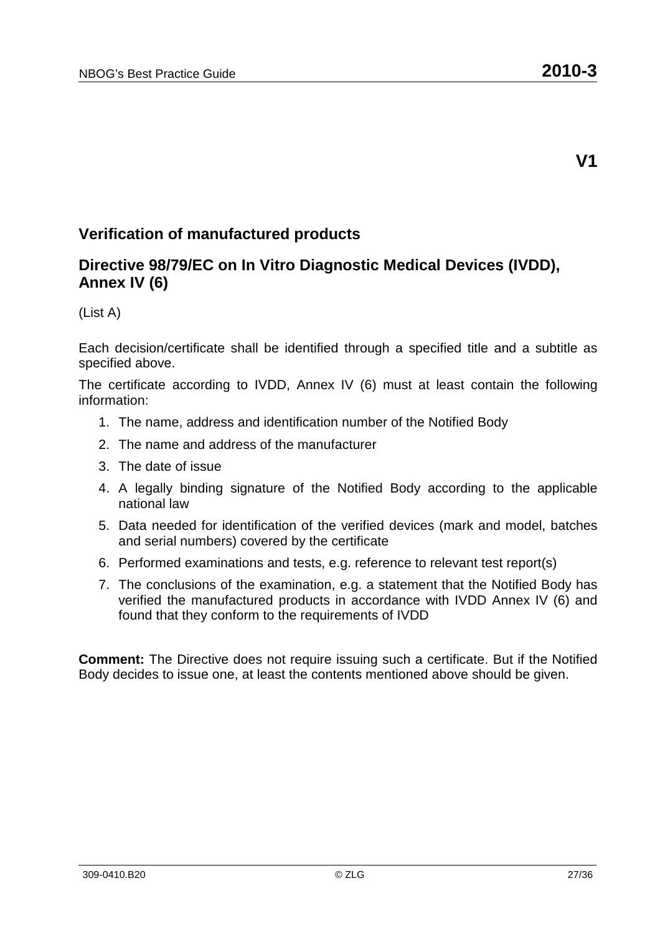### **Verification of manufactured products**

### **Directive 98/79/EC on In Vitro Diagnostic Medical Devices (IVDD), Annex IV (6)**

(List A)

Each decision/certificate shall be identified through a specified title and a subtitle as specified above.

The certificate according to IVDD, Annex IV (6) must at least contain the following information:

- 1. The name, address and identification number of the Notified Body
- 2. The name and address of the manufacturer
- 3. The date of issue
- 4. A legally binding signature of the Notified Body according to the applicable national law
- 5. Data needed for identification of the verified devices (mark and model, batches and serial numbers) covered by the certificate
- 6. Performed examinations and tests, e.g. reference to relevant test report(s)
- 7. The conclusions of the examination, e.g. a statement that the Notified Body has verified the manufactured products in accordance with IVDD Annex IV (6) and found that they conform to the requirements of IVDD

**Comment:** The Directive does not require issuing such a certificate. But if the Notified Body decides to issue one, at least the contents mentioned above should be given.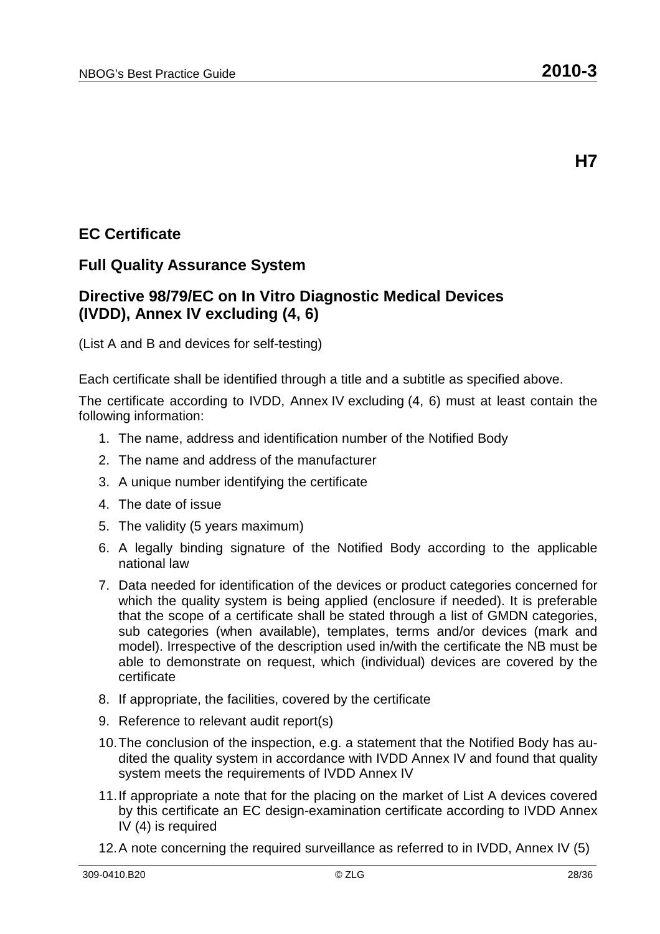## **EC Certificate**

#### **Full Quality Assurance System**

#### **Directive 98/79/EC on In Vitro Diagnostic Medical Devices (IVDD), Annex IV excluding (4, 6)**

(List A and B and devices for self-testing)

Each certificate shall be identified through a title and a subtitle as specified above.

- 1. The name, address and identification number of the Notified Body
- 2. The name and address of the manufacturer
- 3. A unique number identifying the certificate
- 4. The date of issue
- 5. The validity (5 years maximum)
- 6. A legally binding signature of the Notified Body according to the applicable national law
- 7. Data needed for identification of the devices or product categories concerned for which the quality system is being applied (enclosure if needed). It is preferable that the scope of a certificate shall be stated through a list of GMDN categories, sub categories (when available), templates, terms and/or devices (mark and model). Irrespective of the description used in/with the certificate the NB must be able to demonstrate on request, which (individual) devices are covered by the certificate
- 8. If appropriate, the facilities, covered by the certificate
- 9. Reference to relevant audit report(s)
- 10. The conclusion of the inspection, e.g. a statement that the Notified Body has audited the quality system in accordance with IVDD Annex IV and found that quality system meets the requirements of IVDD Annex IV
- 11. If appropriate a note that for the placing on the market of List A devices covered by this certificate an EC design-examination certificate according to IVDD Annex IV (4) is required
- 12. A note concerning the required surveillance as referred to in IVDD, Annex IV (5)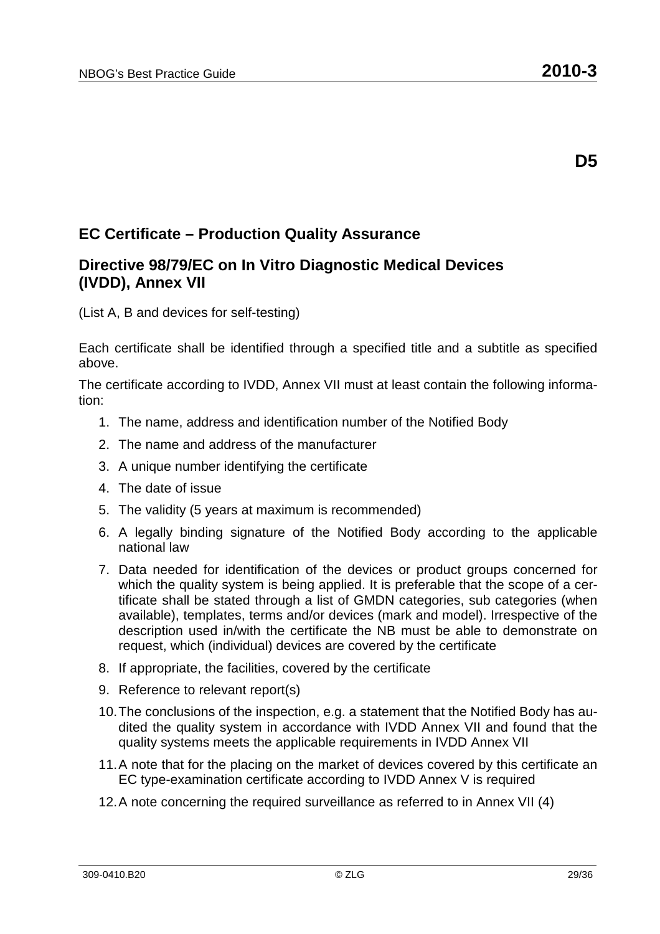#### **Directive 98/79/EC on In Vitro Diagnostic Medical Devices (IVDD), Annex VII**

(List A, B and devices for self-testing)

Each certificate shall be identified through a specified title and a subtitle as specified above.

- 1. The name, address and identification number of the Notified Body
- 2. The name and address of the manufacturer
- 3. A unique number identifying the certificate
- 4. The date of issue
- 5. The validity (5 years at maximum is recommended)
- 6. A legally binding signature of the Notified Body according to the applicable national law
- 7. Data needed for identification of the devices or product groups concerned for which the quality system is being applied. It is preferable that the scope of a certificate shall be stated through a list of GMDN categories, sub categories (when available), templates, terms and/or devices (mark and model). Irrespective of the description used in/with the certificate the NB must be able to demonstrate on request, which (individual) devices are covered by the certificate
- 8. If appropriate, the facilities, covered by the certificate
- 9. Reference to relevant report(s)
- 10. The conclusions of the inspection, e.g. a statement that the Notified Body has audited the quality system in accordance with IVDD Annex VII and found that the quality systems meets the applicable requirements in IVDD Annex VII
- 11. A note that for the placing on the market of devices covered by this certificate an EC type-examination certificate according to IVDD Annex V is required
- 12. A note concerning the required surveillance as referred to in Annex VII (4)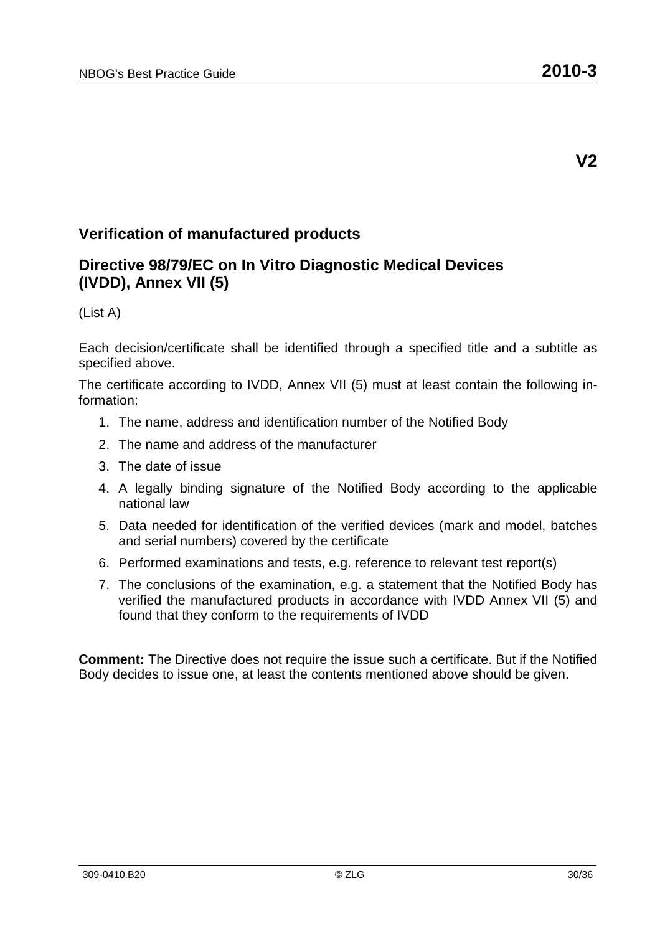### **Verification of manufactured products**

#### **Directive 98/79/EC on In Vitro Diagnostic Medical Devices (IVDD), Annex VII (5)**

(List A)

Each decision/certificate shall be identified through a specified title and a subtitle as specified above.

The certificate according to IVDD, Annex VII (5) must at least contain the following information:

- 1. The name, address and identification number of the Notified Body
- 2. The name and address of the manufacturer
- 3. The date of issue
- 4. A legally binding signature of the Notified Body according to the applicable national law
- 5. Data needed for identification of the verified devices (mark and model, batches and serial numbers) covered by the certificate
- 6. Performed examinations and tests, e.g. reference to relevant test report(s)
- 7. The conclusions of the examination, e.g. a statement that the Notified Body has verified the manufactured products in accordance with IVDD Annex VII (5) and found that they conform to the requirements of IVDD

**Comment:** The Directive does not require the issue such a certificate. But if the Notified Body decides to issue one, at least the contents mentioned above should be given.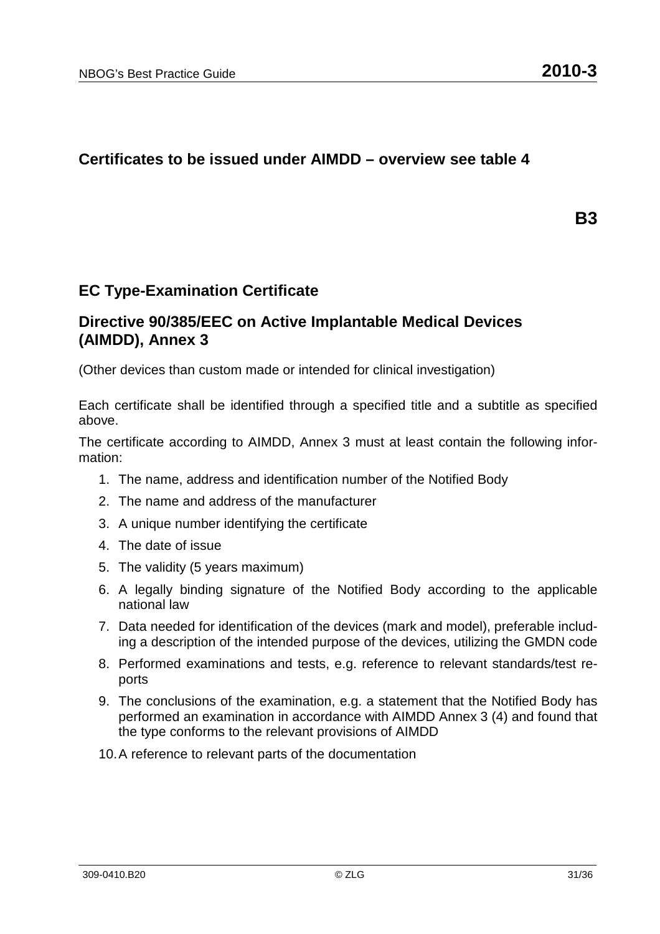#### **Certificates to be issued under AIMDD – overview see table 4**

**B3** 

#### **EC Type-Examination Certificate**

#### **Directive 90/385/EEC on Active Implantable Medical Devices (AIMDD), Annex 3**

(Other devices than custom made or intended for clinical investigation)

Each certificate shall be identified through a specified title and a subtitle as specified above.

The certificate according to AIMDD, Annex 3 must at least contain the following information:

- 1. The name, address and identification number of the Notified Body
- 2. The name and address of the manufacturer
- 3. A unique number identifying the certificate
- 4. The date of issue
- 5. The validity (5 years maximum)
- 6. A legally binding signature of the Notified Body according to the applicable national law
- 7. Data needed for identification of the devices (mark and model), preferable including a description of the intended purpose of the devices, utilizing the GMDN code
- 8. Performed examinations and tests, e.g. reference to relevant standards/test reports
- 9. The conclusions of the examination, e.g. a statement that the Notified Body has performed an examination in accordance with AIMDD Annex 3 (4) and found that the type conforms to the relevant provisions of AIMDD
- 10. A reference to relevant parts of the documentation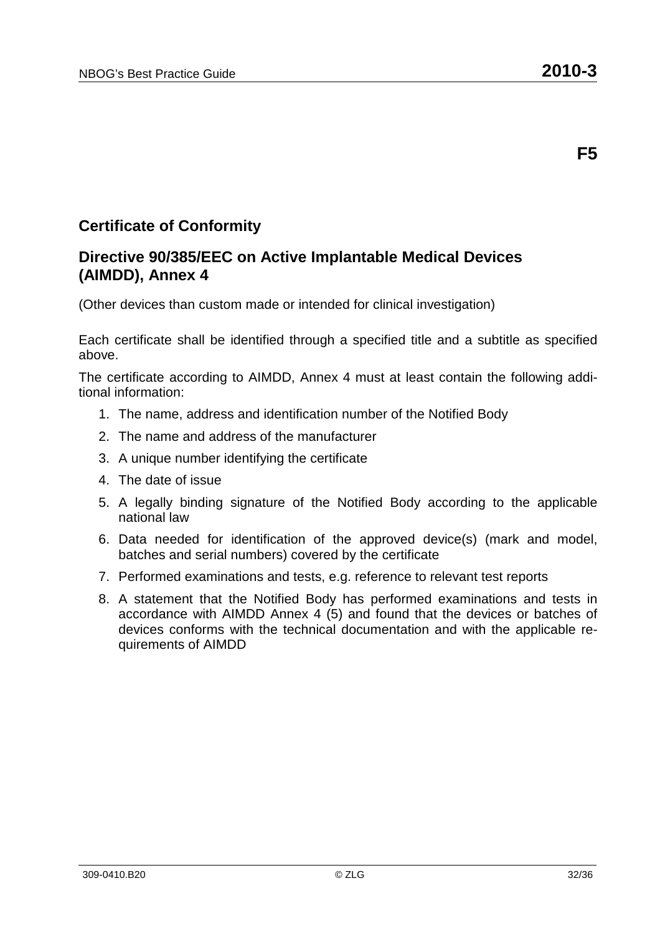### **Certificate of Conformity**

#### **Directive 90/385/EEC on Active Implantable Medical Devices (AIMDD), Annex 4**

(Other devices than custom made or intended for clinical investigation)

Each certificate shall be identified through a specified title and a subtitle as specified above.

The certificate according to AIMDD, Annex 4 must at least contain the following additional information:

- 1. The name, address and identification number of the Notified Body
- 2. The name and address of the manufacturer
- 3. A unique number identifying the certificate
- 4. The date of issue
- 5. A legally binding signature of the Notified Body according to the applicable national law
- 6. Data needed for identification of the approved device(s) (mark and model, batches and serial numbers) covered by the certificate
- 7. Performed examinations and tests, e.g. reference to relevant test reports
- 8. A statement that the Notified Body has performed examinations and tests in accordance with AIMDD Annex 4 (5) and found that the devices or batches of devices conforms with the technical documentation and with the applicable requirements of AIMDD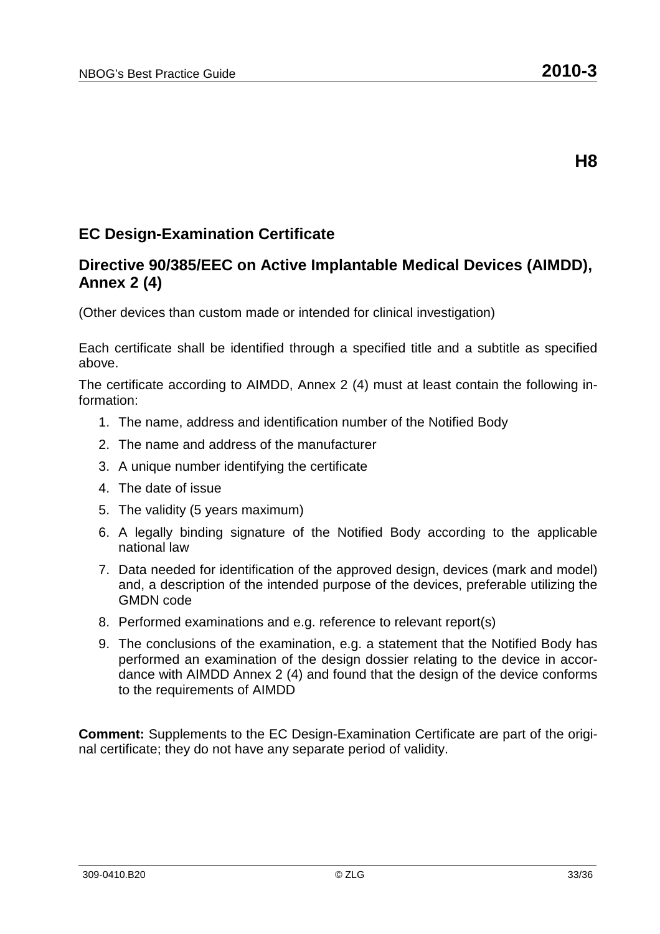## **EC Design-Examination Certificate**

### **Directive 90/385/EEC on Active Implantable Medical Devices (AIMDD), Annex 2 (4)**

(Other devices than custom made or intended for clinical investigation)

Each certificate shall be identified through a specified title and a subtitle as specified above.

The certificate according to AIMDD, Annex 2 (4) must at least contain the following information:

- 1. The name, address and identification number of the Notified Body
- 2. The name and address of the manufacturer
- 3. A unique number identifying the certificate
- 4. The date of issue
- 5. The validity (5 years maximum)
- 6. A legally binding signature of the Notified Body according to the applicable national law
- 7. Data needed for identification of the approved design, devices (mark and model) and, a description of the intended purpose of the devices, preferable utilizing the GMDN code
- 8. Performed examinations and e.g. reference to relevant report(s)
- 9. The conclusions of the examination, e.g. a statement that the Notified Body has performed an examination of the design dossier relating to the device in accordance with AIMDD Annex 2 (4) and found that the design of the device conforms to the requirements of AIMDD

**Comment:** Supplements to the EC Design-Examination Certificate are part of the original certificate; they do not have any separate period of validity.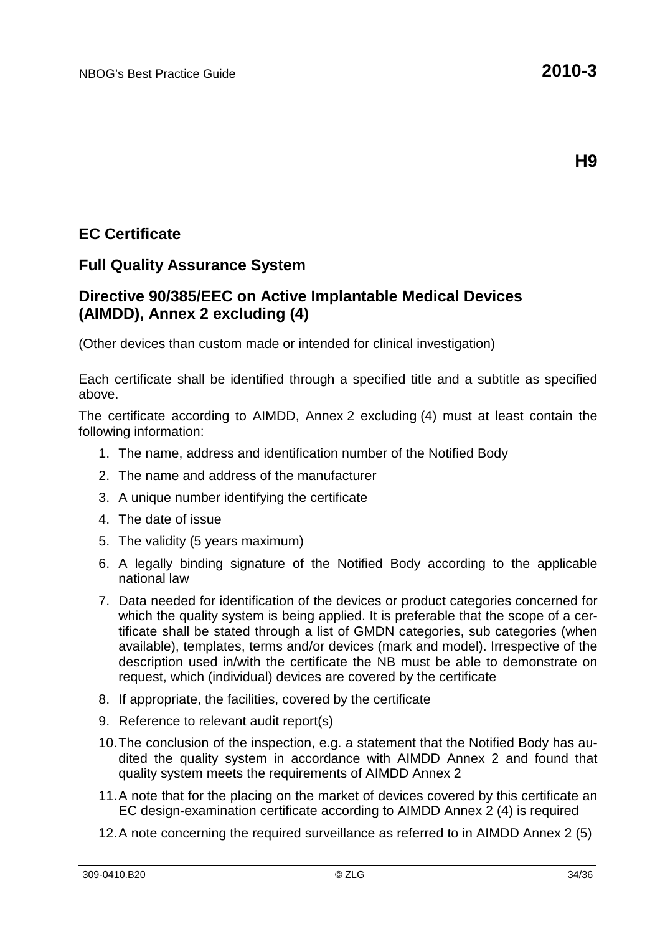## **EC Certificate**

#### **Full Quality Assurance System**

#### **Directive 90/385/EEC on Active Implantable Medical Devices (AIMDD), Annex 2 excluding (4)**

(Other devices than custom made or intended for clinical investigation)

Each certificate shall be identified through a specified title and a subtitle as specified above.

- 1. The name, address and identification number of the Notified Body
- 2. The name and address of the manufacturer
- 3. A unique number identifying the certificate
- 4. The date of issue
- 5. The validity (5 years maximum)
- 6. A legally binding signature of the Notified Body according to the applicable national law
- 7. Data needed for identification of the devices or product categories concerned for which the quality system is being applied. It is preferable that the scope of a certificate shall be stated through a list of GMDN categories, sub categories (when available), templates, terms and/or devices (mark and model). Irrespective of the description used in/with the certificate the NB must be able to demonstrate on request, which (individual) devices are covered by the certificate
- 8. If appropriate, the facilities, covered by the certificate
- 9. Reference to relevant audit report(s)
- 10. The conclusion of the inspection, e.g. a statement that the Notified Body has audited the quality system in accordance with AIMDD Annex 2 and found that quality system meets the requirements of AIMDD Annex 2
- 11. A note that for the placing on the market of devices covered by this certificate an EC design-examination certificate according to AIMDD Annex 2 (4) is required
- 12. A note concerning the required surveillance as referred to in AIMDD Annex 2 (5)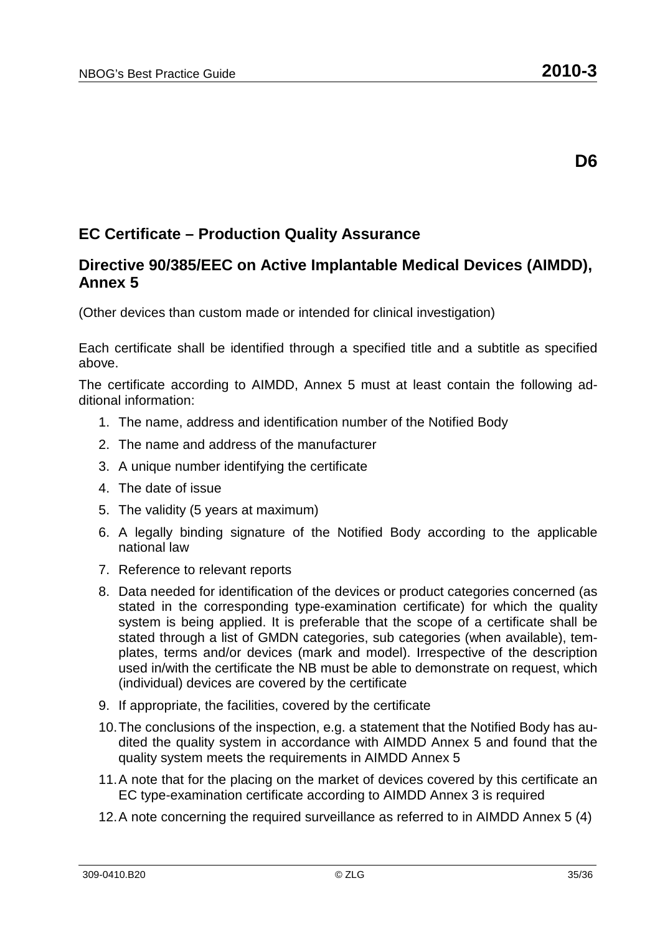#### **Directive 90/385/EEC on Active Implantable Medical Devices (AIMDD), Annex 5**

(Other devices than custom made or intended for clinical investigation)

Each certificate shall be identified through a specified title and a subtitle as specified above.

The certificate according to AIMDD, Annex 5 must at least contain the following additional information:

- 1. The name, address and identification number of the Notified Body
- 2. The name and address of the manufacturer
- 3. A unique number identifying the certificate
- 4. The date of issue
- 5. The validity (5 years at maximum)
- 6. A legally binding signature of the Notified Body according to the applicable national law
- 7. Reference to relevant reports
- 8. Data needed for identification of the devices or product categories concerned (as stated in the corresponding type-examination certificate) for which the quality system is being applied. It is preferable that the scope of a certificate shall be stated through a list of GMDN categories, sub categories (when available), templates, terms and/or devices (mark and model). Irrespective of the description used in/with the certificate the NB must be able to demonstrate on request, which (individual) devices are covered by the certificate
- 9. If appropriate, the facilities, covered by the certificate
- 10. The conclusions of the inspection, e.g. a statement that the Notified Body has audited the quality system in accordance with AIMDD Annex 5 and found that the quality system meets the requirements in AIMDD Annex 5
- 11. A note that for the placing on the market of devices covered by this certificate an EC type-examination certificate according to AIMDD Annex 3 is required
- 12. A note concerning the required surveillance as referred to in AIMDD Annex 5 (4)